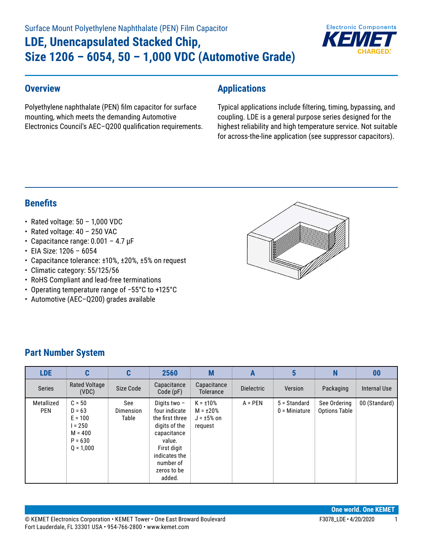# Surface Mount Polyethylene Naphthalate (PEN) Film Capacitor **LDE, Unencapsulated Stacked Chip, Size 1206 – 6054, 50 – 1,000 VDC (Automotive Grade)**



#### **Overview**

Polyethylene naphthalate (PEN) film capacitor for surface mounting, which meets the demanding Automotive Electronics Council's AEC–Q200 qualification requirements.

#### **Applications**

Typical applications include filtering, timing, bypassing, and coupling. LDE is a general purpose series designed for the highest reliability and high temperature service. Not suitable for across-the-line application (see suppressor capacitors).

### **Benefits**

- Rated voltage:  $50 1,000$  VDC
- Rated voltage: 40 250 VAC
- Capacitance range:  $0.001 4.7 \mu F$
- EIA Size: 1206 6054
- Capacitance tolerance: ±10%, ±20%, ±5% on request
- Climatic category: 55/125/56
- RoHS Compliant and lead-free terminations
- • Operating temperature range of −55°C to +125°C
- Automotive (AEC–Q200) grades available



### **Part Number System**

| <b>LDE</b>               | C                                                                                     | C                                | 2560                                                                                                                                                             | M                                                               | A                 | 5                               | N                                    | 00                  |
|--------------------------|---------------------------------------------------------------------------------------|----------------------------------|------------------------------------------------------------------------------------------------------------------------------------------------------------------|-----------------------------------------------------------------|-------------------|---------------------------------|--------------------------------------|---------------------|
| <b>Series</b>            | <b>Rated Voltage</b><br>(VDC)                                                         | Size Code                        | Capacitance<br>Code(pF)                                                                                                                                          | Capacitance<br>Tolerance                                        | <b>Dielectric</b> | Version                         | Packaging                            | <b>Internal Use</b> |
| Metallized<br><b>PEN</b> | $C = 50$<br>$D = 63$<br>$E = 100$<br>$= 250$<br>$M = 400$<br>$P = 630$<br>$0 = 1.000$ | See<br><b>Dimension</b><br>Table | Digits two -<br>four indicate<br>the first three<br>digits of the<br>capacitance<br>value.<br>First digit<br>indicates the<br>number of<br>zeros to be<br>added. | $K = \pm 10\%$<br>$M = \pm 20\%$<br>$J = \pm 5\%$ on<br>request | $A = PEN$         | 5 = Standard<br>$0 =$ Miniature | See Ordering<br><b>Options Table</b> | 00 (Standard)       |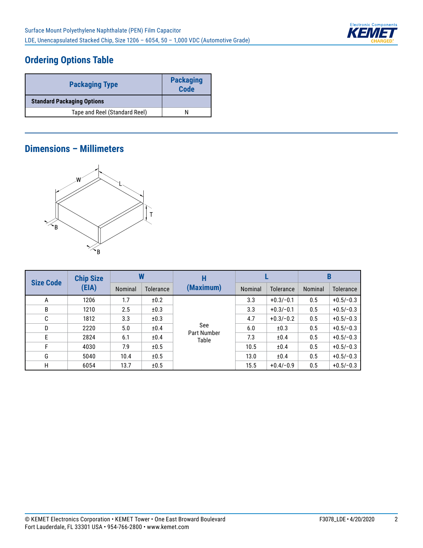

## **Ordering Options Table**

| <b>Packaging Type</b>             | <b>Packaging</b><br><b>Code</b> |
|-----------------------------------|---------------------------------|
| <b>Standard Packaging Options</b> |                                 |
| Tape and Reel (Standard Reel)     |                                 |

#### **Dimensions – Millimeters**



| <b>Size Code</b> | <b>Chip Size</b> |         |                  | Н                         |         |             | B       |                  |
|------------------|------------------|---------|------------------|---------------------------|---------|-------------|---------|------------------|
|                  | (EIA)            | Nominal | <b>Tolerance</b> | (Maximum)                 | Nominal | Tolerance   | Nominal | <b>Tolerance</b> |
| A                | 1206             | 1.7     | ±0.2             |                           | 3.3     | $+0.3/-0.1$ | 0.5     | $+0.5/-0.3$      |
| B                | 1210             | 2.5     | ±0.3             |                           | 3.3     | $+0.3/-0.1$ | 0.5     | $+0.5/-0.3$      |
| C                | 1812             | 3.3     | ±0.3             |                           | 4.7     | $+0.3/-0.2$ | 0.5     | $+0.5/-0.3$      |
| D                | 2220             | 5.0     | ±0.4             | See<br><b>Part Number</b> | 6.0     | ±0.3        | 0.5     | $+0.5/-0.3$      |
| E                | 2824             | 6.1     | ±0.4             | Table                     | 7.3     | ±0.4        | 0.5     | $+0.5/-0.3$      |
| F                | 4030             | 7.9     | ±0.5             |                           | 10.5    | ±0.4        | 0.5     | $+0.5/-0.3$      |
| G                | 5040             | 10.4    | ±0.5             |                           | 13.0    | ±0.4        | 0.5     | $+0.5/-0.3$      |
| H                | 6054             | 13.7    | ±0.5             |                           | 15.5    | $+0.4/-0.9$ | 0.5     | $+0.5/-0.3$      |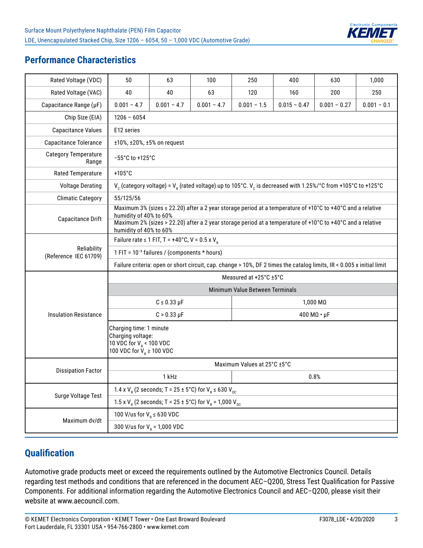

#### **Performance Characteristics**

| Rated Voltage (VDC)                  | 50                                                                                                                | 63                                                                                                                                   | 100                                                              | 250                             | 400            | 630                                                                                                                                             | 1,000         |  |  |  |  |  |  |
|--------------------------------------|-------------------------------------------------------------------------------------------------------------------|--------------------------------------------------------------------------------------------------------------------------------------|------------------------------------------------------------------|---------------------------------|----------------|-------------------------------------------------------------------------------------------------------------------------------------------------|---------------|--|--|--|--|--|--|
| Rated Voltage (VAC)                  | 40                                                                                                                | 40                                                                                                                                   | 63                                                               | 120                             | 160            | 200                                                                                                                                             | 250           |  |  |  |  |  |  |
| Capacitance Range (µF)               | $0.001 - 4.7$                                                                                                     | $0.001 - 4.7$                                                                                                                        | $0.001 - 4.7$                                                    | $0.001 - 1.5$                   | $0.015 - 0.47$ | $0.001 - 0.27$                                                                                                                                  | $0.001 - 0.1$ |  |  |  |  |  |  |
| Chip Size (EIA)                      | $1206 - 6054$                                                                                                     |                                                                                                                                      |                                                                  |                                 |                |                                                                                                                                                 |               |  |  |  |  |  |  |
| <b>Capacitance Values</b>            | E12 series                                                                                                        |                                                                                                                                      |                                                                  |                                 |                |                                                                                                                                                 |               |  |  |  |  |  |  |
| <b>Capacitance Tolerance</b>         |                                                                                                                   | ±10%, ±20%, ±5% on request                                                                                                           |                                                                  |                                 |                |                                                                                                                                                 |               |  |  |  |  |  |  |
| <b>Category Temperature</b><br>Range |                                                                                                                   | $-55^{\circ}$ C to +125 $^{\circ}$ C                                                                                                 |                                                                  |                                 |                |                                                                                                                                                 |               |  |  |  |  |  |  |
| Rated Temperature                    | $+105^{\circ}$ C                                                                                                  |                                                                                                                                      |                                                                  |                                 |                |                                                                                                                                                 |               |  |  |  |  |  |  |
| <b>Voltage Derating</b>              |                                                                                                                   |                                                                                                                                      |                                                                  |                                 |                | V <sub>c</sub> (category voltage) = V <sub>e</sub> (rated voltage) up to 105°C. V <sub>c</sub> is decreased with 1.25%/°C from +105°C to +125°C |               |  |  |  |  |  |  |
| <b>Climatic Category</b>             | 55/125/56                                                                                                         |                                                                                                                                      |                                                                  |                                 |                |                                                                                                                                                 |               |  |  |  |  |  |  |
| <b>Capacitance Drift</b>             |                                                                                                                   | Maximum 3% (sizes ≤ 22.20) after a 2 year storage period at a temperature of +10°C to +40°C and a relative<br>humidity of 40% to 60% |                                                                  |                                 |                |                                                                                                                                                 |               |  |  |  |  |  |  |
|                                      |                                                                                                                   | Maximum 2% (sizes > 22.20) after a 2 year storage period at a temperature of +10°C to +40°C and a relative<br>humidity of 40% to 60% |                                                                  |                                 |                |                                                                                                                                                 |               |  |  |  |  |  |  |
|                                      | Failure rate $\leq$ 1 FIT, T = +40°C, V = 0.5 x V <sub>P</sub>                                                    |                                                                                                                                      |                                                                  |                                 |                |                                                                                                                                                 |               |  |  |  |  |  |  |
| Reliability<br>(Reference IEC 61709) | 1 FIT = 10 <sup>-9</sup> failures / (components * hours)                                                          |                                                                                                                                      |                                                                  |                                 |                |                                                                                                                                                 |               |  |  |  |  |  |  |
|                                      |                                                                                                                   | Failure criteria: open or short circuit, cap. change > 10%, DF 2 times the catalog limits, IR < 0.005 x initial limit                |                                                                  |                                 |                |                                                                                                                                                 |               |  |  |  |  |  |  |
|                                      |                                                                                                                   |                                                                                                                                      |                                                                  | Measured at +25°C ±5°C          |                |                                                                                                                                                 |               |  |  |  |  |  |  |
|                                      |                                                                                                                   |                                                                                                                                      |                                                                  | Minimum Value Between Terminals |                |                                                                                                                                                 |               |  |  |  |  |  |  |
|                                      |                                                                                                                   | $C \leq 0.33 \mu F$                                                                                                                  |                                                                  |                                 |                | $1,000 \text{ M}\Omega$                                                                                                                         |               |  |  |  |  |  |  |
| <b>Insulation Resistance</b>         |                                                                                                                   | $C > 0.33 \mu F$                                                                                                                     |                                                                  |                                 |                | $400 M\Omega \cdot \mu F$                                                                                                                       |               |  |  |  |  |  |  |
|                                      | Charging time: 1 minute<br>Charging voltage:<br>10 VDC for $V_R$ < 100 VDC<br>100 VDC for $\hat{V}_R \ge 100$ VDC |                                                                                                                                      |                                                                  |                                 |                |                                                                                                                                                 |               |  |  |  |  |  |  |
|                                      |                                                                                                                   |                                                                                                                                      |                                                                  | Maximum Values at 25°C ±5°C     |                |                                                                                                                                                 |               |  |  |  |  |  |  |
| <b>Dissipation Factor</b>            | 1 kHz<br>0.8%                                                                                                     |                                                                                                                                      |                                                                  |                                 |                |                                                                                                                                                 |               |  |  |  |  |  |  |
| Surge Voltage Test                   | 1.4 x $V_R$ (2 seconds; T = 25 ± 5°C) for $V_R \le 630 V_{DC}$                                                    |                                                                                                                                      |                                                                  |                                 |                |                                                                                                                                                 |               |  |  |  |  |  |  |
|                                      |                                                                                                                   |                                                                                                                                      | 1.5 x $V_R$ (2 seconds; T = 25 ± 5°C) for $V_R$ = 1,000 $V_{DC}$ |                                 |                |                                                                                                                                                 |               |  |  |  |  |  |  |
| Maximum dv/dt                        | 100 V/us for $V_R \le 630$ VDC                                                                                    |                                                                                                                                      |                                                                  |                                 |                |                                                                                                                                                 |               |  |  |  |  |  |  |
|                                      | 300 V/us for $V_R$ = 1,000 VDC                                                                                    |                                                                                                                                      |                                                                  |                                 |                |                                                                                                                                                 |               |  |  |  |  |  |  |

#### **Qualification**

Automotive grade products meet or exceed the requirements outlined by the Automotive Electronics Council. Details regarding test methods and conditions that are referenced in the document AEC–Q200, Stress Test Qualification for Passive Components. For additional information regarding the Automotive Electronics Council and AEC–Q200, please visit their website at www.aecouncil.com.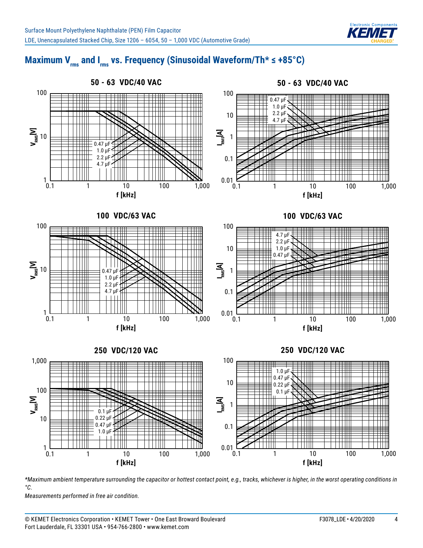

# Maximum V<sub>rms</sub> and I<sub>rms</sub> vs. Frequency (Sinusoidal Waveform/Th\* ≤ +85°C)



*\*Maximum ambient temperature surrounding the capacitor or hottest contact point, e.g., tracks, whichever is higher, in the worst operating conditions in °C.*

*Measurements performed in free air condition.*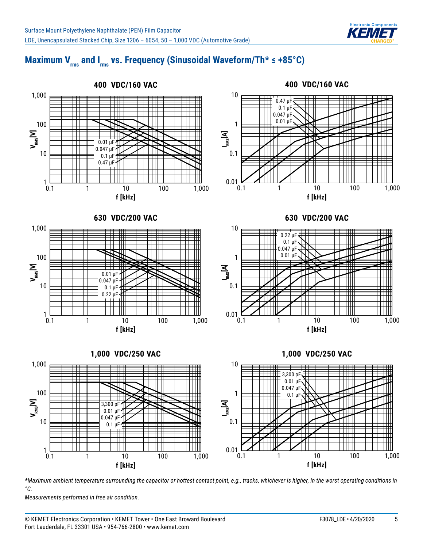

# Maximum V<sub>rms</sub> and I<sub>rms</sub> vs. Frequency (Sinusoidal Waveform/Th\* ≤ +85°C)



*\*Maximum ambient temperature surrounding the capacitor or hottest contact point, e.g., tracks, whichever is higher, in the worst operating conditions in °C.*

*Measurements performed in free air condition.*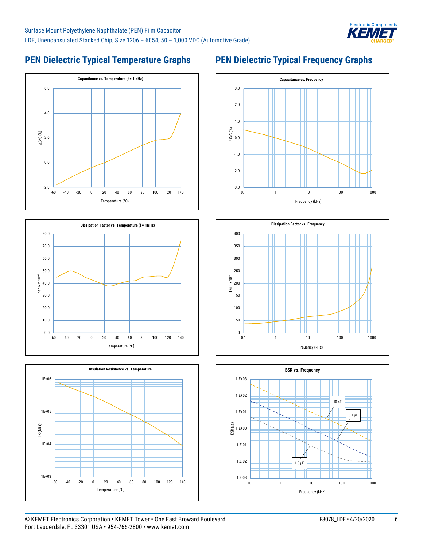

## **PEN Dielectric Typical Temperature Graphs**







## **PEN Dielectric Typical Frequency Graphs**





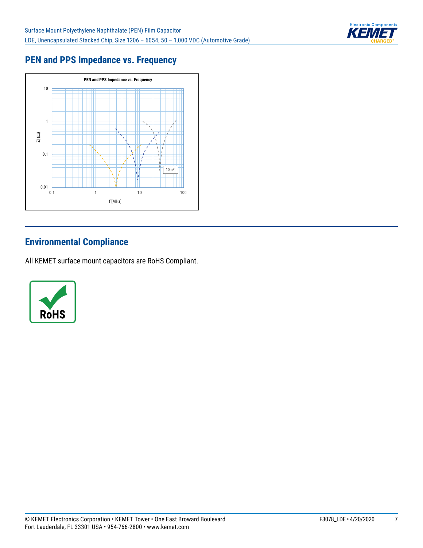

## **PEN and PPS Impedance vs. Frequency**



## **Environmental Compliance**

All KEMET surface mount capacitors are RoHS Compliant.

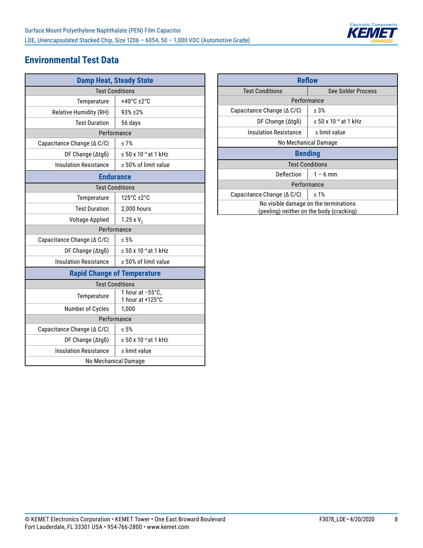

#### **Environmental Test Data**

| <b>Damp Heat, Steady State</b>     |                                       |  |  |  |  |  |  |
|------------------------------------|---------------------------------------|--|--|--|--|--|--|
| <b>Test Conditions</b>             |                                       |  |  |  |  |  |  |
| Temperature                        | $+40^{\circ}$ C $\pm 2^{\circ}$ C     |  |  |  |  |  |  |
| <b>Relative Humidity (RH)</b>      | 93% ±2%                               |  |  |  |  |  |  |
| <b>Test Duration</b>               | 56 days                               |  |  |  |  |  |  |
|                                    | Performance                           |  |  |  |  |  |  |
| Capacitance Change   △ C/C         | $\leq 7\%$                            |  |  |  |  |  |  |
| DF Change $(\Delta t g \delta)$    | $\leq$ 50 x 10 <sup>-4</sup> at 1 kHz |  |  |  |  |  |  |
| <b>Insulation Resistance</b>       | $\geq 50\%$ of limit value            |  |  |  |  |  |  |
|                                    | <b>Endurance</b>                      |  |  |  |  |  |  |
| <b>Test Conditions</b>             |                                       |  |  |  |  |  |  |
| Temperature                        | 125°C +2°C                            |  |  |  |  |  |  |
| <b>Test Duration</b>               | 2,000 hours                           |  |  |  |  |  |  |
| <b>Voltage Applied</b>             | 1.25 x $V_c$                          |  |  |  |  |  |  |
| Performance                        |                                       |  |  |  |  |  |  |
| Capacitance Change   ∆ C/C         | < 5%                                  |  |  |  |  |  |  |
| DF Change $(\Delta t g \delta)$    | ≤ 50 x 10 <sup>-4</sup> at 1 kHz      |  |  |  |  |  |  |
| <b>Insulation Resistance</b>       | $\geq 50\%$ of limit value            |  |  |  |  |  |  |
| <b>Rapid Change of Temperature</b> |                                       |  |  |  |  |  |  |
| <b>Test Conditions</b>             |                                       |  |  |  |  |  |  |
| Temperature                        | 1 hour at -55°C,<br>1 hour at +125°C  |  |  |  |  |  |  |
| Number of Cycles                   | 1,000                                 |  |  |  |  |  |  |
| Performance                        |                                       |  |  |  |  |  |  |
| Capacitance Change   ∆ C/C         | $\leq 5\%$                            |  |  |  |  |  |  |
| DF Change (Δtgδ)                   | $\leq$ 50 x 10 <sup>-4</sup> at 1 kHz |  |  |  |  |  |  |
| <b>Insulation Resistance</b>       | $\ge$ limit value                     |  |  |  |  |  |  |
| No Mechanical Damage               |                                       |  |  |  |  |  |  |

| <b>Reflow</b>                                                                     |                                  |  |  |  |  |  |  |  |
|-----------------------------------------------------------------------------------|----------------------------------|--|--|--|--|--|--|--|
| <b>Test Conditions</b>                                                            | See Solder Process               |  |  |  |  |  |  |  |
| Performance                                                                       |                                  |  |  |  |  |  |  |  |
| Capacitance Change $ \Delta C/C $                                                 | $\leq 3\%$                       |  |  |  |  |  |  |  |
| DF Change $(\Delta t q \delta)$                                                   | ≤ 50 x 10 <sup>-4</sup> at 1 kHz |  |  |  |  |  |  |  |
| Insulation Resistance                                                             | $\ge$ limit value                |  |  |  |  |  |  |  |
| No Mechanical Damage                                                              |                                  |  |  |  |  |  |  |  |
| <b>Bending</b>                                                                    |                                  |  |  |  |  |  |  |  |
| <b>Test Conditions</b>                                                            |                                  |  |  |  |  |  |  |  |
| Deflection                                                                        | $1 - 6$ mm                       |  |  |  |  |  |  |  |
| Performance                                                                       |                                  |  |  |  |  |  |  |  |
| Capacitance Change   ∆ C/C <br>$\leq 1\%$                                         |                                  |  |  |  |  |  |  |  |
| No visible damage on the terminations<br>(peeling) neither on the body (cracking) |                                  |  |  |  |  |  |  |  |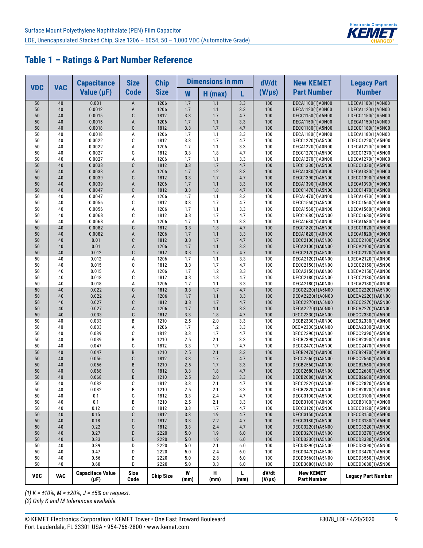

| <b>VDC</b> | <b>VAC</b> | <b>Capacitance</b>                   | <b>Size</b>         | <b>Chip</b>      |            | <b>Dimensions in mm</b> |            | dV/dt                | <b>New KEMET</b>                       | <b>Legacy Part</b>                     |
|------------|------------|--------------------------------------|---------------------|------------------|------------|-------------------------|------------|----------------------|----------------------------------------|----------------------------------------|
|            |            | Value $(\mu F)$                      | <b>Code</b>         | <b>Size</b>      | W          | $H$ (max)               | L          | $(V/\mu s)$          | <b>Part Number</b>                     | <b>Number</b>                          |
| 50         | 40         | 0.001                                | A                   | 1206             | 1.7        | 1.1                     | 3.3        | 100                  | DECA1100(1)A0N00                       | LDECA1100(1)A0N00                      |
| 50         | 40         | 0.0012                               | A                   | 1206             | 1.7        | 1.1                     | 3.3        | 100                  | DECA1120(1)A0N00                       | LDECA1120(1)A0N00                      |
| 50         | 40         | 0.0015                               | C                   | 1812             | 3.3        | 1.7                     | 4.7        | 100                  | DECC1150(1)A5N00                       | LDECC1150(1)A5N00                      |
| 50<br>50   | 40<br>40   | 0.0015<br>0.0018                     | A<br>C              | 1206<br>1812     | 1.7<br>3.3 | 1.1<br>1.7              | 3.3<br>4.7 | 100<br>100           | DECA1150(1)A0N00                       | LDECA1150(1)A0N00                      |
| 50         | 40         | 0.0018                               | А                   | 1206             | 1.7        | 1.1                     | 3.3        | 100                  | DECC1180(1)A5N00<br>DECA1180(1)A0N00   | LDECC1180(1)A5N00<br>LDECA1180(1)A0N00 |
| 50         | 40         | 0.0022                               | C                   | 1812             | 3.3        | 1.7                     | 4.7        | 100                  | DECC1220(1)A5N00                       | LDECC1220(1)A5N00                      |
| 50         | 40         | 0.0022                               | Α                   | 1206             | 1.7        | 1.1                     | 3.3        | 100                  | DECA1220(1)A0N00                       | LDECA1220(1)A0N00                      |
| 50         | 40         | 0.0027                               | C                   | 1812             | 3.3        | 1.8                     | 4.7        | 100                  | DECC1270(1)A5N00                       | LDECC1270(1)A5N00                      |
| 50         | 40         | 0.0027                               | A                   | 1206             | 1.7        | 1.1                     | 3.3        | 100                  | DECA1270(1)A0N00                       | LDECA1270(1)A0N00                      |
| 50         | 40         | 0.0033                               | C                   | 1812             | 3.3        | 1.7                     | 4.7        | 100                  | DECC1330(1)A5N00                       | LDECC1330(1)A5N00                      |
| 50         | 40         | 0.0033                               | A                   | 1206             | 1.7        | 1.2                     | 3.3        | 100                  | DECA1330(1)A0N00                       | LDECA1330(1)A0N00                      |
| 50         | 40         | 0.0039                               | C                   | 1812             | 3.3        | 1.7                     | 4.7        | 100                  | DECC1390(1)A5N00                       | LDECC1390(1)A5N00                      |
| 50         | 40         | 0.0039                               | A                   | 1206             | 1.7        | 1.1                     | 3.3        | 100                  | DECA1390(1)A0N00                       | LDECA1390(1)A0N00                      |
| 50         | 40         | 0.0047                               | C                   | 1812             | 3.3        | 1.8                     | 4.7        | 100                  | DECC1470(1)A5N00                       | LDECC1470(1)A5N00                      |
| 50         | 40         | 0.0047                               | А                   | 1206             | 1.7        | 1.1                     | 3.3        | 100                  | DECA1470(1)A0N00                       | LDECA1470(1)A0N00                      |
| 50<br>50   | 40<br>40   | 0.0056<br>0.0056                     | C<br>Α              | 1812<br>1206     | 3.3<br>1.7 | 1.7<br>1.1              | 4.7<br>3.3 | 100<br>100           | DECC1560(1)A5N00                       | LDECC1560(1)A5N00                      |
| 50         | 40         | 0.0068                               | C                   | 1812             | 3.3        | 1.7                     | 4.7        | 100                  | DECA1560(1)A0N00<br>DECC1680(1)A5N00   | LDECA1560(1)A0N00<br>LDECC1680(1)A5N00 |
| 50         | 40         | 0.0068                               | A                   | 1206             | 1.7        | 1.1                     | 3.3        | 100                  | DECA1680(1)A0N00                       | LDECA1680(1)A0N00                      |
| 50         | 40         | 0.0082                               | C                   | 1812             | 3.3        | 1.8                     | 4.7        | 100                  | DECC1820(1)A5N00                       | LDECC1820(1)A5N00                      |
| 50         | 40         | 0.0082                               | A                   | 1206             | 1.7        | 1.1                     | 3.3        | 100                  | DECA1820(1)A0N00                       | LDECA1820(1)A0N00                      |
| 50         | 40         | 0.01                                 | C                   | 1812             | 3.3        | 1.7                     | 4.7        | 100                  | DECC2100(1)A5N00                       | LDECC2100(1)A5N00                      |
| 50         | 40         | 0.01                                 | A                   | 1206             | 1.7        | 1.1                     | 3.3        | 100                  | DECA2100(1)A0N00                       | LDECA2100(1)A0N00                      |
| 50         | 40         | 0.012                                | C                   | 1812             | 3.3        | 1.7                     | 4.7        | 100                  | DECC2120(1)A5N00                       | LDECC2120(1)A5N00                      |
| 50         | 40         | 0.012                                | Α                   | 1206             | 1.7        | 1.1                     | 3.3        | 100                  | DECA2120(1)A0N00                       | LDECA2120(1)A0N00                      |
| 50         | 40         | 0.015                                | C                   | 1812             | 3.3        | 1.7                     | 4.7        | 100                  | DECC2150(1)A5N00                       | LDECC2150(1)A5N00                      |
| 50         | 40         | 0.015                                | Α                   | 1206             | 1.7        | 1.2                     | 3.3        | 100                  | DECA2150(1)A0N00                       | LDECA2150(1)A0N00                      |
| 50         | 40         | 0.018                                | C                   | 1812             | 3.3        | 1.8                     | 4.7        | 100                  | DECC2180(1)A5N00                       | LDECC2180(1)A5N00                      |
| 50         | 40         | 0.018                                | A                   | 1206             | 1.7        | 1.1                     | 3.3        | 100                  | DECA2180(1)A0N00                       | LDECA2180(1)A0N00                      |
| 50         | 40         | 0.022                                | C                   | 1812             | 3.3        | 1.7                     | 4.7        | 100                  | DECC2220(1)A5N00                       | LDECC2220(1)A5N00                      |
| 50         | 40         | 0.022                                | A                   | 1206             | 1.7        | 1.1                     | 3.3        | 100                  | DECA2220(1)A0N00                       | LDECA2220(1)A0N00                      |
| 50<br>50   | 40<br>40   | 0.027<br>0.027                       | C<br>A              | 1812<br>1206     | 3.3<br>1.7 | 1.7<br>1.1              | 4.7<br>3.3 | 100<br>100           | DECC2270(1)A5N00<br>DECA2270(1)A0N00   | LDECC2270(1)A5N00<br>LDECA2270(1)A0N00 |
| 50         | 40         | 0.033                                | C                   | 1812             | 3.3        | 1.8                     | 4.7        | 100                  | DECC2330(1)A5N00                       | LDECC2330(1)A5N00                      |
| 50         | 40         | 0.033                                | B                   | 1210             | 2.5        | 2.0                     | 3.3        | 100                  | DECB2330(1)A0N00                       | LDECB2330(1)A0N00                      |
| 50         | 40         | 0.033                                | А                   | 1206             | 1.7        | 1.2                     | 3.3        | 100                  | DECA2330(2)A0N00                       | LDECA2330(2)A0N00                      |
| 50         | 40         | 0.039                                | C                   | 1812             | 3.3        | 1.7                     | 4.7        | 100                  | DECC2390(1)A5N00                       | LDECC2390(1)A5N00                      |
| 50         | 40         | 0.039                                | B                   | 1210             | 2.5        | 2.1                     | 3.3        | 100                  | DECB2390(1)A0N00                       | LDECB2390(1)A0N00                      |
| 50         | 40         | 0.047                                | C                   | 1812             | 3.3        | 1.7                     | 4.7        | 100                  | DECC2470(1)A5N00                       | LDECC2470(1)A5N00                      |
| 50         | 40         | 0.047                                | B                   | 1210             | 2.5        | 2.1                     | 3.3        | 100                  | DECB2470(1)A0N00                       | LDECB2470(1)A0N00                      |
| 50         | 40         | 0.056                                | C                   | 1812             | 3.3        | 1.7                     | 4.7        | 100                  | DECC2560(1)A5N00                       | LDECC2560(1)A5N00                      |
| 50         | 40         | 0.056                                | B                   | 1210             | 2.5        | 1.7                     | 3.3        | 100                  | DECB2560(1)A0N00                       | LDECB2560(1)A0N00                      |
| 50         | 40         | 0.068                                | C                   | 1812             | 3.3        | 1.8                     | 4.7        | 100                  | DECC2680(1)A5N00                       | LDECC2680(1)A5N00                      |
| 50         | 40         | 0.068                                | B                   | 1210             | 2.5        | 2.0                     | 3.3        | 100                  | DECB2680(1)A0N00                       | LDECB2680(1)A0N00                      |
| 50<br>50   | 40<br>40   | 0.082<br>0.082                       | C<br>B              | 1812<br>1210     | 3.3<br>2.5 | 2.1<br>2.1              | 4.7<br>3.3 | 100<br>100           | DECC2820(1)A5N00<br>DECB2820(1)A0N00   | LDECC2820(1)A5N00<br>LDECB2820(1)A0N00 |
| 50         | 40         | 0.1                                  | C                   | 1812             | 3.3        | 2.4                     | 4.7        | 100                  | DECC3100(1)A5N00                       | LDECC3100(1)A5N00                      |
| 50         | 40         | 0.1                                  | В                   | 1210             | 2.5        | 2.1                     | 3.3        | 100                  | DECB3100(1)A0N00                       | LDECB3100(1)A0N00                      |
| 50         | 40         | 0.12                                 | С                   | 1812             | 3.3        | 1.7                     | 4.7        | 100                  | DECC3120(1)A5N00                       | LDECC3120(1)A5N00                      |
| 50         | 40         | 0.15                                 | С                   | 1812             | 3.3        | 1.9                     | 4.7        | 100                  | DECC3150(1)A5N00                       | LDECC3150(1)A5N00                      |
| 50         | 40         | 0.18                                 | C                   | 1812             | 3.3        | 2.2                     | 4.7        | 100                  | DECC3180(1)A5N00                       | LDECC3180(1)A5N00                      |
| 50         | 40         | 0.22                                 | C                   | 1812             | 3.3        | 2.4                     | 4.7        | 100                  | DECC3220(1)A5N00                       | LDECC3220(1)A5N00                      |
| 50         | 40         | 0.27                                 | D                   | 2220             | 5.0        | 1.9                     | 6.0        | 100                  | DECD3270(1)A5N00                       | LDECD3270(1)A5N00                      |
| $50\,$     | 40         | 0.33                                 | D                   | 2220             | $5.0$      | 1.9                     | 6.0        | 100                  | DECD3330(1)A5N00                       | LDECD3330(1)A5N00                      |
| 50         | 40         | 0.39                                 | D                   | 2220             | 5.0        | 2.1                     | 6.0        | 100                  | DECD3390(1)A5N00                       | LDECD3390(1)A5N00                      |
| 50         | 40         | 0.47                                 | D                   | 2220             | 5.0        | 2.4                     | 6.0        | 100                  | DECD3470(1)A5N00                       | LDECD3470(1)A5N00                      |
| 50         | 40         | 0.56                                 | D                   | 2220             | 5.0        | 2.8                     | 6.0        | 100                  | DECD3560(1)A5N00                       | LDECD3560(1)A5N00                      |
| 50         | 40         | 0.68                                 | D                   | 2220             | 5.0        | 3.3                     | 6.0        | 100                  | DECD3680(1)A5N00                       | LDECD3680(1)A5N00                      |
| <b>VDC</b> | <b>VAC</b> | <b>Capacitace Value</b><br>$(\mu F)$ | <b>Size</b><br>Code | <b>Chip Size</b> | W<br>(mm)  | н<br>(mm)               | L<br>(mm)  | dV/dt<br>$(V/\mu s)$ | <b>New KEMET</b><br><b>Part Number</b> | <b>Legacy Part Number</b>              |

*(1) K = ±10%, M = ±20%, J = ±5% on request.*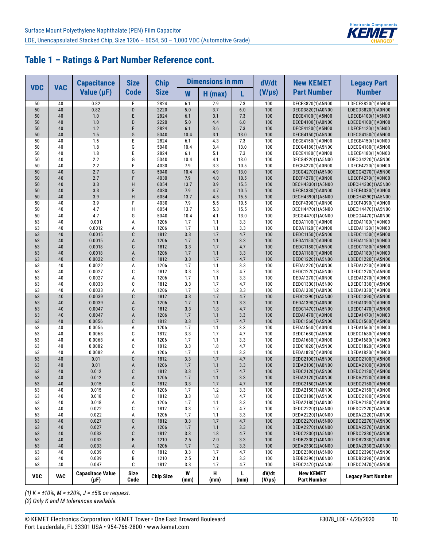

|            | <b>VAC</b> | <b>Capacitance</b>                   | <b>Size</b>         | <b>Chip</b>      |             | <b>Dimensions in mm</b> |             | dV/dt                | <b>New KEMET</b>                       | <b>Legacy Part</b>                     |
|------------|------------|--------------------------------------|---------------------|------------------|-------------|-------------------------|-------------|----------------------|----------------------------------------|----------------------------------------|
| <b>VDC</b> |            | Value $(\mu F)$                      | <b>Code</b>         | <b>Size</b>      | W           | $H$ (max)               | L           | $(V/\mu s)$          | <b>Part Number</b>                     | <b>Number</b>                          |
| 50         | 40         | 0.82                                 | Ε                   | 2824             | 6.1         | 2.9                     | 7.3         | 100                  | DECE3820(1)A5N00                       | LDECE3820(1)A5N00                      |
| 50         | 40         | 0.82                                 | D                   | 2220             | 5.0         | 3.7                     | 6.0         | 100                  | DECD3820(1)A0N00                       | LDECD3820(1)A0N00                      |
| 50         | 40         | 1.0                                  | E                   | 2824             | 6.1         | 3.1                     | 7.3         | 100                  | DECE4100(1)A5N00                       | LDECE4100(1)A5N00                      |
| 50         | 40         | 1.0                                  | D                   | 2220             | 5.0         | 4.4                     | 6.0         | 100                  | DECD4100(1)A0N00                       | LDECD4100(1)A0N00                      |
| 50         | 40         | 1.2                                  | E                   | 2824             | 6.1         | 3.6                     | 7.3         | 100                  | DECE4120(1)A5N00                       | LDECE4120(1)A5N00                      |
| 50         | 40         | 1.5                                  | G                   | 5040             | 10.4        | 3.1                     | 13.0        | 100                  | DECG4150(1)A5N00                       | LDECG4150(1)A5N00                      |
| 50         | 40         | 1.5                                  | E                   | 2824             | 6.1         | 4.3                     | 7.3         | 100                  | DECE4150(1)A0N00                       | LDECE4150(1)A0N00                      |
| 50         | 40<br>40   | 1.8                                  | G<br>E              | 5040<br>2824     | 10.4<br>6.1 | 3.4                     | 13.0<br>7.3 | 100<br>100           | DECG4180(1)A5N00                       | LDECG4180(1)A5N00                      |
| 50<br>50   | 40         | 1.8<br>2.2                           | G                   | 5040             | 10.4        | 5.1<br>4.1              | 13.0        | 100                  | DECE4180(1)A0N00<br>DECG4220(1)A5N00   | LDECE4180(1)A0N00<br>LDECG4220(1)A5N00 |
| 50         | 40         | 2.2                                  | F                   | 4030             | 7.9         | 3.3                     | 10.5        | 100                  | DECF4220(1)A0N00                       | LDECF4220(1)A0N00                      |
| 50         | 40         | 2.7                                  | G                   | 5040             | 10.4        | 4.9                     | 13.0        | 100                  | DECG4270(1)A5N00                       | LDECG4270(1)A5N00                      |
| 50         | 40         | 2.7                                  | F                   | 4030             | 7.9         | 4.0                     | 10.5        | 100                  | DECF4270(1)A0N00                       | LDECF4270(1)A0N00                      |
| 50         | 40         | 3.3                                  | Н                   | 6054             | 13.7        | 3.9                     | 15.5        | 100                  | DECH4330(1)A5N00                       | LDECH4330(1)A5N00                      |
| 50         | 40         | 3.3                                  | F                   | 4030             | 7.9         | 4.7                     | 10.5        | 100                  | DECF4330(1)A0N00                       | LDECF4330(1)A0N00                      |
| 50         | 40         | 3.9                                  | H                   | 6054             | 13.7        | 4.5                     | 15.5        | 100                  | DECH4390(1)A5N00                       | LDECH4390(1)A5N00                      |
| 50         | 40         | 3.9                                  | F                   | 4030             | 7.9         | 5.5                     | 10.5        | 100                  | DECF4390(1)A0N00                       | LDECF4390(1)A0N00                      |
| 50         | 40         | 4.7                                  | H                   | 6054             | 13.7        | 5.3                     | 15.5        | 100                  | DECH4470(1)A5N00                       | LDECH4470(1)A5N00                      |
| 50         | 40         | 4.7                                  | G                   | 5040             | 10.4        | 4.1                     | 13.0        | 100                  | DECG4470(1)A0N00                       | LDECG4470(1)A0N00                      |
| 63         | 40         | 0.001                                | A                   | 1206             | 1.7         | 1.1                     | 3.3         | 100                  | DEDA1100(1)A0N00                       | LDEDA1100(1)A0N00                      |
| 63         | 40         | 0.0012                               | A                   | 1206             | 1.7         | 1.1                     | 3.3         | 100                  | DEDA1120(1)A0N00                       | LDEDA1120(1)A0N00                      |
| 63         | 40         | 0.0015                               | C                   | 1812             | 3.3         | 1.7                     | 4.7         | 100                  | DEDC1150(1)A5N00                       | LDEDC1150(1)A5N00                      |
| 63         | 40         | 0.0015                               | A                   | 1206             | 1.7         | 1.1                     | 3.3         | 100                  | DEDA1150(1)A0N00                       | LDEDA1150(1)A0N00                      |
| 63         | 40         | 0.0018                               | C                   | 1812             | 3.3         | 1.7                     | 4.7         | 100                  | DEDC1180(1)A5N00                       | LDEDC1180(1)A5N00                      |
| 63         | 40         | 0.0018                               | A<br>C              | 1206             | 1.7         | 1.1                     | 3.3         | 100                  | DEDA1180(1)A0N00                       | LDEDA1180(1)A0N00                      |
| 63         | 40<br>40   | 0.0022                               | А                   | 1812<br>1206     | 3.3<br>1.7  | 1.7<br>1.1              | 4.7<br>3.3  | 100<br>100           | DEDC1220(1)A5N00<br>DEDA1220(1)A0N00   | LDEDC1220(1)A5N00                      |
| 63<br>63   | 40         | 0.0022<br>0.0027                     | C                   | 1812             | 3.3         | 1.8                     | 4.7         | 100                  | DEDC1270(1)A5N00                       | LDEDA1220(1)A0N00<br>LDEDC1270(1)A5N00 |
| 63         | 40         | 0.0027                               | А                   | 1206             | 1.7         | 1.1                     | 3.3         | 100                  | DEDA1270(1)A0N00                       | LDEDA1270(1)A0N00                      |
| 63         | 40         | 0.0033                               | C                   | 1812             | 3.3         | 1.7                     | 4.7         | 100                  | DEDC1330(1)A5N00                       | LDEDC1330(1)A5N00                      |
| 63         | 40         | 0.0033                               | A                   | 1206             | 1.7         | 1.2                     | 3.3         | 100                  | DEDA1330(1)A0N00                       | LDEDA1330(1)A0N00                      |
| 63         | 40         | 0.0039                               | C                   | 1812             | 3.3         | 1.7                     | 4.7         | 100                  | DEDC1390(1)A5N00                       | LDEDC1390(1)A5N00                      |
| 63         | 40         | 0.0039                               | A                   | 1206             | 1.7         | 1.1                     | 3.3         | 100                  | DEDA1390(1)A0N00                       | LDEDA1390(1)A0N00                      |
| 63         | 40         | 0.0047                               | C                   | 1812             | 3.3         | 1.8                     | 4.7         | 100                  | DEDC1470(1)A5N00                       | LDEDC1470(1)A5N00                      |
| 63         | 40         | 0.0047                               | A                   | 1206             | 1.7         | 1.1                     | 3.3         | 100                  | DEDA1470(1)A0N00                       | LDEDA1470(1)A0N00                      |
| 63         | 40         | 0.0056                               | C                   | 1812             | 3.3         | 1.7                     | 4.7         | 100                  | DEDC1560(1)A5N00                       | LDEDC1560(1)A5N00                      |
| 63         | 40         | 0.0056                               | A                   | 1206             | 1.7         | 1.1                     | 3.3         | 100                  | DEDA1560(1)A0N00                       | LDEDA1560(1)A0N00                      |
| 63         | 40         | 0.0068                               | C                   | 1812             | 3.3         | 1.7                     | 4.7         | 100                  | DEDC1680(1)A5N00                       | LDEDC1680(1)A5N00                      |
| 63         | 40         | 0.0068                               | Α                   | 1206             | 1.7         | 1.1                     | 3.3         | 100                  | DEDA1680(1)A0N00                       | LDEDA1680(1)A0N00                      |
| 63         | 40         | 0.0082                               | C                   | 1812             | 3.3         | 1.8                     | 4.7         | 100                  | DEDC1820(1)A5N00                       | LDEDC1820(1)A5N00                      |
| 63         | 40<br>40   | 0.0082                               | А<br>C              | 1206<br>1812     | 1.7<br>3.3  | 1.1<br>1.7              | 3.3         | 100<br>100           | DEDA1820(1)A0N00                       | LDEDA1820(1)A0N00                      |
| 63<br>63   | 40         | 0.01<br>0.01                         | А                   | 1206             | 1.7         | 1.1                     | 4.7<br>3.3  | 100                  | DEDC2100(1)A5N00<br>DEDA2100(1)A0N00   | LDEDC2100(1)A5N00<br>LDEDA2100(1)A0N00 |
| 63         | 40         | 0.012                                | C                   | 1812             | 3.3         | 1.7                     | 4.7         | 100                  | DEDC2120(1)A5N00                       | LDEDC2120(1)A5N00                      |
| 63         | 40         | 0.012                                | A                   | 1206             | 1.7         | 1.1                     | 3.3         | 100                  | DEDA2120(1)A0N00                       | LDEDA2120(1)A0N00                      |
| 63         | 40         | 0.015                                | C                   | 1812             | 3.3         | 1.7                     | 4.7         | 100                  | DEDC2150(1)A5N00                       | LDEDC2150(1)A5N00                      |
| 63         | 40         | 0.015                                | А                   | 1206             | 1.7         | 1.2                     | 3.3         | 100                  | DEDA2150(1)A0N00                       | LDEDA2150(1)A0N00                      |
| 63         | 40         | 0.018                                | C                   | 1812             | 3.3         | 1.8                     | 4.7         | 100                  | DEDC2180(1)A5N00                       | LDEDC2180(1)A5N00                      |
| 63         | 40         | 0.018                                | Α                   | 1206             | 1.7         | 1.1                     | 3.3         | 100                  | DEDA2180(1)A0N00                       | LDEDA2180(1)A0N00                      |
| 63         | 40         | 0.022                                | C                   | 1812             | 3.3         | 1.7                     | 4.7         | 100                  | DEDC2220(1)A5N00                       | LDEDC2220(1)A5N00                      |
| 63         | 40         | 0.022                                | А                   | 1206             | 1.7         | 1.1                     | 3.3         | 100                  | DEDA2220(1)A0N00                       | LDEDA2220(1)A0N00                      |
| 63         | 40         | 0.027                                | С                   | 1812             | 3.3         | 1.7                     | 4.7         | 100                  | DEDC2270(1)A5N00                       | LDEDC2270(1)A5N00                      |
| 63         | 40         | 0.027                                | A                   | 1206             | 1.7         | $1.1$                   | 3.3         | 100                  | DEDA2270(1)A0N00                       | LDEDA2270(1)A0N00                      |
| 63         | 40         | 0.033                                | С                   | 1812             | 3.3         | 1.8                     | 4.7         | 100                  | DEDC2330(1)A5N00                       | LDEDC2330(1)A5N00                      |
| 63         | 40         | 0.033                                | B                   | 1210             | $2.5\,$     | 2.0                     | 3.3         | 100                  | DEDB2330(1)A0N00                       | LDEDB2330(1)A0N00                      |
| 63         | 40         | 0.033                                | A                   | 1206             | 1.7         | 1.2                     | 3.3         | 100                  | DEDA2330(2)A0N00                       | LDEDA2330(2)A0N00                      |
| 63         | 40<br>40   | 0.039                                | C<br>B              | 1812             | 3.3         | 1.7                     | 4.7         | 100                  | DEDC2390(1)A5N00                       | LDEDC2390(1)A5N00                      |
| 63<br>63   | 40         | 0.039<br>0.047                       | С                   | 1210<br>1812     | 2.5<br>3.3  | 2.1<br>1.7              | 3.3<br>4.7  | 100<br>100           | DEDB2390(1)A0N00<br>DEDC2470(1)A5N00   | LDEDB2390(1)A0N00<br>LDEDC2470(1)A5N00 |
|            |            |                                      |                     |                  |             |                         |             |                      |                                        |                                        |
| <b>VDC</b> | <b>VAC</b> | <b>Capacitace Value</b><br>$(\mu F)$ | <b>Size</b><br>Code | <b>Chip Size</b> | W<br>(mm)   | Н<br>(mm)               | L<br>(mm)   | dV/dt<br>$(V/\mu s)$ | <b>New KEMET</b><br><b>Part Number</b> | <b>Legacy Part Number</b>              |

*(1) K = ±10%, M = ±20%, J = ±5% on request.*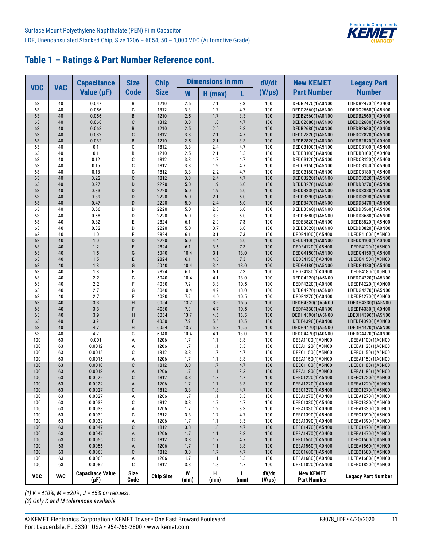

|            | <b>VAC</b> | <b>Capacitance</b>                   | <b>Size</b>         | <b>Chip</b>      |                | <b>Dimensions in mm</b> |                | dV/dt                | <b>New KEMET</b>                       | <b>Legacy Part</b>                     |
|------------|------------|--------------------------------------|---------------------|------------------|----------------|-------------------------|----------------|----------------------|----------------------------------------|----------------------------------------|
| <b>VDC</b> |            | Value $(\mu F)$                      | <b>Code</b>         | <b>Size</b>      | W              | $H$ (max)               | L              | $(V/\mu s)$          | <b>Part Number</b>                     | <b>Number</b>                          |
| 63<br>63   | 40<br>40   | 0.047<br>0.056                       | B<br>C              | 1210<br>1812     | 2.5<br>3.3     | 2.1<br>1.7              | 3.3<br>4.7     | 100<br>100           | DEDB2470(1)A0N00                       | LDEDB2470(1)A0N00                      |
| 63         | 40         | 0.056                                | B                   | 1210             | 2.5            | 1.7                     | 3.3            | 100                  | DEDC2560(1)A5N00<br>DEDB2560(1)A0N00   | LDEDC2560(1)A5N00<br>LDEDB2560(1)A0N00 |
| 63         | 40         | 0.068                                | C                   | 1812             | 3.3            | 1.8                     | 4.7            | 100                  | DEDC2680(1)A5N00                       | LDEDC2680(1)A5N00                      |
| 63         | 40         | 0.068                                | B                   | 1210             | 2.5            | 2.0                     | 3.3            | 100                  | DEDB2680(1)A0N00                       | LDEDB2680(1)A0N00                      |
| 63         | 40         | 0.082                                | C                   | 1812             | 3.3            | 2.1                     | 4.7            | 100                  | DEDC2820(1)A5N00                       | LDEDC2820(1)A5N00                      |
| 63         | 40         | 0.082                                | B                   | 1210             | 2.5            | 2.1                     | 3.3            | 100                  | DEDB2820(1)A0N00                       | LDEDB2820(1)A0N00                      |
| 63         | 40         | 0.1                                  | C                   | 1812             | 3.3            | 2.4                     | 4.7            | 100                  | DEDC3100(1)A5N00                       | LDEDC3100(1)A5N00                      |
| 63<br>63   | 40<br>40   | 0.1<br>0.12                          | В<br>C              | 1210<br>1812     | 2.5<br>3.3     | 2.1<br>1.7              | 3.3<br>4.7     | 100<br>100           | DEDB3100(1)A0N00<br>DEDC3120(1)A5N00   | LDEDB3100(1)A0N00<br>LDEDC3120(1)A5N00 |
| 63         | 40         | 0.15                                 | C                   | 1812             | 3.3            | 1.9                     | 4.7            | 100                  | DEDC3150(1)A5N00                       | LDEDC3150(1)A5N00                      |
| 63         | 40         | 0.18                                 | C                   | 1812             | 3.3            | 2.2                     | 4.7            | 100                  | DEDC3180(1)A5N00                       | LDEDC3180(1)A5N00                      |
| 63         | 40         | 0.22                                 | C                   | 1812             | 3.3            | 2.4                     | 4.7            | 100                  | DEDC3220(1)A5N00                       | LDEDC3220(1)A5N00                      |
| 63         | 40         | 0.27                                 | D                   | 2220             | 5.0            | 1.9                     | 6.0            | 100                  | DEDD3270(1)A5N00                       | LDEDD3270(1)A5N00                      |
| 63         | 40         | 0.33                                 | D                   | 2220             | 5.0            | 1.9                     | 6.0            | 100                  | DEDD3330(1)A5N00                       | LDEDD3330(1)A5N00                      |
| 63<br>63   | 40<br>40   | 0.39<br>0.47                         | D<br>D              | 2220<br>2220     | 5.0<br>5.0     | 2.1<br>2.4              | 6.0<br>6.0     | 100<br>100           | DEDD3390(1)A5N00<br>DEDD3470(1)A5N00   | LDEDD3390(1)A5N00<br>LDEDD3470(1)A5N00 |
| 63         | 40         | 0.56                                 | D                   | 2220             | 5.0            | 2.8                     | 6.0            | 100                  | DEDD3560(1)A5N00                       | LDEDD3560(1)A5N00                      |
| 63         | 40         | 0.68                                 | D                   | 2220             | 5.0            | 3.3                     | 6.0            | 100                  | DEDD3680(1)A5N00                       | LDEDD3680(1)A5N00                      |
| 63         | 40         | 0.82                                 | E                   | 2824             | 6.1            | 2.9                     | 7.3            | 100                  | DEDE3820(1)A5N00                       | LDEDE3820(1)A5N00                      |
| 63         | 40         | 0.82                                 | D                   | 2220             | 5.0            | 3.7                     | 6.0            | 100                  | DEDD3820(1)A0N00                       | LDEDD3820(1)A0N00                      |
| 63         | 40         | 1.0                                  | E                   | 2824             | 6.1            | 3.1                     | 7.3            | 100                  | DEDE4100(1)A5N00                       | LDEDE4100(1)A5N00                      |
| 63         | 40<br>40   | 1.0                                  | D<br>E              | 2220             | 5.0            | 4.4<br>3.6              | 6.0            | 100                  | DEDD4100(1)A0N00                       | LDEDD4100(1)A0N00                      |
| 63<br>63   | 40         | 1.2<br>1.5                           | G                   | 2824<br>5040     | 6.1<br>10.4    | 3.1                     | 7.3<br>13.0    | 100<br>100           | DEDE4120(1)A5N00<br>DEDG4150(1)A5N00   | LDEDE4120(1)A5N00<br>LDEDG4150(1)A5N00 |
| 63         | 40         | 1.5                                  | E                   | 2824             | 6.1            | 4.3                     | 7.3            | 100                  | DEDE4150(1)A0N00                       | LDEDE4150(1)A0N00                      |
| 63         | 40         | 1.8                                  | G                   | 5040             | 10.4           | 3.4                     | 13.0           | 100                  | DEDG4180(1)A5N00                       | LDEDG4180(1)A5N00                      |
| 63         | 40         | 1.8                                  | Ε                   | 2824             | 6.1            | 5.1                     | 7.3            | 100                  | DEDE4180(1)A0N00                       | LDEDE4180(1)A0N00                      |
| 63         | 40         | 2.2                                  | G                   | 5040             | 10.4           | 4.1                     | 13.0           | 100                  | DEDG4220(1)A5N00                       | LDEDG4220(1)A5N00                      |
| 63         | 40         | 2.2                                  | F                   | 4030             | 7.9            | 3.3                     | 10.5           | 100                  | DEDF4220(1)A0N00                       | LDEDF4220(1)A0N00                      |
| 63<br>63   | 40<br>40   | 2.7<br>2.7                           | G<br>F              | 5040<br>4030     | 10.4<br>7.9    | 4.9<br>4.0              | 13.0<br>10.5   | 100<br>100           | DEDG4270(1)A5N00<br>DEDF4270(1)A0N00   | LDEDG4270(1)A5N00<br>LDEDF4270(1)A0N00 |
| 63         | 40         | 3.3                                  | H                   | 6054             | 13.7           | 3.9                     | 15.5           | 100                  | DEDH4330(1)A5N00                       | LDEDH4330(1)A5N00                      |
| 63         | 40         | 3.3                                  | F                   | 4030             | 7.9            | 4.7                     | 10.5           | 100                  | DEDF4330(1)A0N00                       | LDEDF4330(1)A0N00                      |
| 63         | 40         | 3.9                                  | H                   | 6054             | 13.7           | 4.5                     | 15.5           | 100                  | DEDH4390(1)A5N00                       | LDEDH4390(1)A5N00                      |
| 63         | 40         | 3.9                                  | F                   | 4030             | 7.9            | 5.5                     | 10.5           | 100                  | DEDF4390(1)A0N00                       | LDEDF4390(1)A0N00                      |
| 63         | 40         | 4.7                                  | H                   | 6054             | 13.7           | 5.3                     | 15.5           | 100                  | DEDH4470(1)A5N00                       | LDEDH4470(1)A5N00                      |
| 63<br>100  | 40<br>63   | 4.7<br>0.001                         | G<br>A              | 5040<br>1206     | 10.4<br>1.7    | 4.1<br>1.1              | 13.0<br>3.3    | 100<br>100           | DEDG4470(1)A0N00<br>DEEA1100(1)A0N00   | LDEDG4470(1)A0N00<br>LDEEA1100(1)A0N00 |
| 100        | 63         | 0.0012                               | A                   | 1206             | 1.7            | 1.1                     | 3.3            | 100                  | DEEA1120(1)A0N00                       | LDEEA1120(1)A0N00                      |
| 100        | 63         | 0.0015                               | C                   | 1812             | 3.3            | 1.7                     | 4.7            | 100                  | DEEC1150(1)A5N00                       | LDEEC1150(1)A5N00                      |
| 100        | 63         | 0.0015                               | A                   | 1206             | 1.7            | 1.1                     | 3.3            | 100                  | DEEA1150(1)A0N00                       | LDEEA1150(1)A0N00                      |
| 100        | 63         | 0.0018                               | C                   | 1812             | 3.3            | 1.7                     | 4.7            | 100                  | DEEC1180(1)A5N00                       | LDEEC1180(1)A5N00                      |
| 100        | 63         | 0.0018                               | A                   | 1206             | 1.7            | 1.1                     | 3.3            | 100                  | DEEA1180(1)A0N00                       | LDEEA1180(1)A0N00                      |
| 100        | 63         | 0.0022                               | C                   | 1812             | 3.3            | 1.7                     | 4.7            | 100                  | DEEC1220(1)A5N00                       | LDEEC1220(1)A5N00                      |
| 100<br>100 | 63<br>63   | 0.0022<br>0.0027                     | A<br>$\mathbb C$    | 1206<br>1812     | 1.7<br>$3.3\,$ | 1.1<br>$1.8\,$          | 3.3<br>$4.7\,$ | 100<br>100           | DEEA1220(1)A0N00<br>DEEC1270(1)A5N00   | LDEEA1220(1)A0N00<br>LDEEC1270(1)A5N00 |
| 100        | 63         | 0.0027                               | А                   | 1206             | 1.7            | 1.1                     | 3.3            | 100                  | DEEA1270(1)A0N00                       | LDEEA1270(1)A0N00                      |
| 100        | 63         | 0.0033                               | C                   | 1812             | 3.3            | 1.7                     | 4.7            | 100                  | DEEC1330(1)A5N00                       | LDEEC1330(1)A5N00                      |
| 100        | 63         | 0.0033                               | А                   | 1206             | 1.7            | $1.2\,$                 | 3.3            | 100                  | DEEA1330(1)A0N00                       | LDEEA1330(1)A0N00                      |
| 100        | 63         | 0.0039                               | C                   | 1812             | 3.3            | 1.7                     | 4.7            | 100                  | DEEC1390(1)A5N00                       | LDEEC1390(1)A5N00                      |
| 100        | 63         | 0.0039                               | А                   | 1206             | 1.7            | 1.1                     | 3.3            | 100                  | DEEA1390(1)A0N00                       | LDEEA1390(1)A0N00                      |
| 100<br>100 | 63<br>63   | 0.0047<br>0.0047                     | C<br>A              | 1812<br>1206     | 3.3<br>1.7     | 1.8<br>1.1              | 4.7<br>3.3     | 100<br>100           | DEEC1470(1)A5N00<br>DEEA1470(1)A0N00   | LDEEC1470(1)A5N00<br>LDEEA1470(1)A0N00 |
| 100        | 63         | 0.0056                               | $\mathbb C$         | 1812             | 3.3            | 1.7                     | 4.7            | 100                  | DEEC1560(1)A5N00                       | LDEEC1560(1)A5N00                      |
| 100        | 63         | 0.0056                               | A                   | 1206             | 1.7            | 1.1                     | 3.3            | 100                  | DEEA1560(1)A0N00                       | LDEEA1560(1)A0N00                      |
| 100        | 63         | 0.0068                               | C                   | 1812             | 3.3            | $1.7\,$                 | 4.7            | 100                  | DEEC1680(1)A5N00                       | LDEEC1680(1)A5N00                      |
| 100        | 63         | 0.0068                               | А                   | 1206             | 1.7            | 1.1                     | 3.3            | 100                  | DEEA1680(1)A0N00                       | LDEEA1680(1)A0N00                      |
| 100        | 63         | 0.0082                               | С                   | 1812             | 3.3            | 1.8                     | 4.7            | 100                  | DEEC1820(1)A5N00                       | LDEEC1820(1)A5N00                      |
| <b>VDC</b> | <b>VAC</b> | <b>Capacitace Value</b><br>$(\mu F)$ | <b>Size</b><br>Code | <b>Chip Size</b> | W<br>(mm)      | н<br>(mm)               | Г<br>(mm)      | dV/dt<br>$(V/\mu s)$ | <b>New KEMET</b><br><b>Part Number</b> | <b>Legacy Part Number</b>              |

*(1) K = ±10%, M = ±20%, J = ±5% on request.*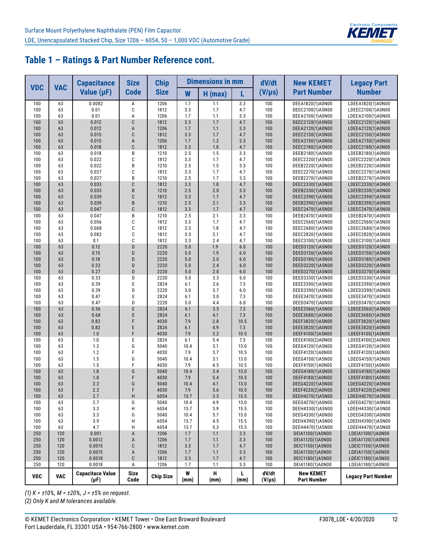

|                  |            | <b>Capacitance</b>                   | <b>Size</b>         | <b>Chip</b>      |             | <b>Dimensions in mm</b> |              | dV/dt                | <b>New KEMET</b>                       | <b>Legacy Part</b>                     |
|------------------|------------|--------------------------------------|---------------------|------------------|-------------|-------------------------|--------------|----------------------|----------------------------------------|----------------------------------------|
| <b>VDC</b>       | <b>VAC</b> | Value $(\mu F)$                      | <b>Code</b>         | <b>Size</b>      | W           | $H$ (max)               | L            | $(V/\mu s)$          | <b>Part Number</b>                     | <b>Number</b>                          |
| 100              | 63         | 0.0082                               | Α                   | 1206             | 1.7         | 1.1                     | 3.3          | 100                  | DEEA1820(1)A0N00                       | LDEEA1820(1)A0N00                      |
| 100              | 63         | 0.01                                 | C                   | 1812             | 3.3         | 1.7                     | 4.7          | 100                  | DEEC2100(1)A5N00                       | LDEEC2100(1)A5N00                      |
| 100              | 63         | 0.01                                 | A<br>C              | 1206             | 1.7         | 1.1                     | 3.3          | 100                  | DEEA2100(1)A0N00                       | LDEEA2100(1)A0N00                      |
| 100<br>100       | 63<br>63   | 0.012<br>0.012                       | A                   | 1812<br>1206     | 3.3<br>1.7  | 1.7<br>1.1              | 4.7<br>3.3   | 100<br>100           | DEEC2120(1)A5N00<br>DEEA2120(1)A0N00   | LDEEC2120(1)A5N00<br>LDEEA2120(1)A0N00 |
| 100              | 63         | 0.015                                | C                   | 1812             | 3.3         | 1.7                     | 4.7          | 100                  | DEEC2150(1)A5N00                       | LDEEC2150(1)A5N00                      |
| 100              | 63         | 0.015                                | $\overline{A}$      | 1206             | 1.7         | 1.2                     | 3.3          | 100                  | DEEA2150(1)A0N00                       | LDEEA2150(1)A0N00                      |
| 100              | 63         | 0.018                                | C                   | 1812             | 3.3         | 1.8                     | 4.7          | 100                  | DEEC2180(1)A5N00                       | LDEEC2180(1)A5N00                      |
| 100              | 63         | 0.018                                | B                   | 1210             | 2.5         | 1.5                     | 3.3          | 100                  | DEEB2180(1)A0N00                       | LDEEB2180(1)A0N00                      |
| 100              | 63         | 0.022                                | С                   | 1812             | 3.3         | 1.7                     | 4.7          | 100                  | DEEC2220(1)A5N00                       | LDEEC2220(1)A5N00                      |
| 100              | 63         | 0.022                                | B                   | 1210             | 2.5         | 1.5                     | 3.3          | 100                  | DEEB2220(1)A0N00                       | LDEEB2220(1)A0N00                      |
| 100              | 63         | 0.027                                | С                   | 1812             | 3.3         | 1.7                     | 4.7          | 100                  | DEEC2270(1)A5N00                       | LDEEC2270(1)A5N00                      |
| 100              | 63         | 0.027<br>0.033                       | B                   | 1210             | 2.5         | 1.7<br>1.8              | 3.3          | 100                  | DEEB2270(1)A0N00                       | LDEEB2270(1)A0N00                      |
| 100<br>100       | 63<br>63   | 0.033                                | C<br>B              | 1812<br>1210     | 3.3<br>2.5  | 2.0                     | 4.7<br>3.3   | 100<br>100           | DEEC2330(1)A5N00<br>DEEB2330(1)A0N00   | LDEEC2330(1)A5N00<br>LDEEB2330(1)A0N00 |
| 100              | 63         | 0.039                                | C                   | 1812             | 3.3         | 1.7                     | 4.7          | 100                  | DEEC2390(1)A5N00                       | LDEEC2390(1)A5N00                      |
| 100              | 63         | 0.039                                | B                   | 1210             | 2.5         | 2.1                     | 3.3          | 100                  | DEEB2390(1)A0N00                       | LDEEB2390(1)A0N00                      |
| 100              | 63         | 0.047                                | C                   | 1812             | 3.3         | 1.7                     | 4.7          | 100                  | DEEC2470(1)A5N00                       | LDEEC2470(1)A5N00                      |
| 100              | 63         | 0.047                                | B                   | 1210             | 2.5         | 2.1                     | 3.3          | 100                  | DEEB2470(1)A0N00                       | LDEEB2470(1)A0N00                      |
| 100              | 63         | 0.056                                | С                   | 1812             | 3.3         | 1.7                     | 4.7          | 100                  | DEEC2560(1)A5N00                       | LDEEC2560(1)A5N00                      |
| 100              | 63         | 0.068                                | C                   | 1812             | 3.3         | 1.8                     | 4.7          | 100                  | DEEC2680(1)A5N00                       | LDEEC2680(1)A5N00                      |
| 100              | 63         | 0.082                                | C                   | 1812             | 3.3         | 2.1                     | 4.7          | 100                  | DEEC2820(1)A5N00                       | LDEEC2820(1)A5N00                      |
| 100              | 63         | 0.1                                  | C                   | 1812             | 3.3         | 2.4                     | 4.7          | 100                  | DEEC3100(1)A5N00                       | LDEEC3100(1)A5N00                      |
| 100              | 63         | 0.12                                 | D                   | 2220             | 5.0         | 1.9                     | 6.0          | 100                  | DEED3120(1)A5N00                       | LDEED3120(1)A5N00                      |
| 100<br>100       | 63<br>63   | 0.15<br>0.18                         | D<br>D              | 2220<br>2220     | 5.0<br>5.0  | 1.9<br>2.0              | 6.0<br>6.0   | 100<br>100           | DEED3150(1)A5N00                       | LDEED3150(1)A5N00                      |
| 100              | 63         | 0.22                                 | D                   | 2220             | 5.0         | 2.4                     | 6.0          | 100                  | DEED3180(1)A5N00<br>DEED3220(1)A5N00   | LDEED3180(1)A5N00<br>LDEED3220(1)A5N00 |
| 100              | 63         | 0.27                                 | D                   | 2220             | 5.0         | 2.8                     | 6.0          | 100                  | DEED3270(1)A5N00                       | LDEED3270(1)A5N00                      |
| 100              | 63         | 0.33                                 | D                   | 2220             | 5.0         | 3.3                     | 6.0          | 100                  | DEED3330(1)A5N00                       | LDEED3330(1)A5N00                      |
| 100              | 63         | 0.39                                 | E                   | 2824             | 6.1         | 2.6                     | 7.3          | 100                  | DEEE3390(1)A5N00                       | LDEEE3390(1)A5N00                      |
| 100              | 63         | 0.39                                 | D                   | 2220             | 5.0         | 3.7                     | 6.0          | 100                  | DEED3390(1)A0N00                       | LDEED3390(1)A0N00                      |
| 100              | 63         | 0.47                                 | E                   | 2824             | 6.1         | 3.0                     | 7.3          | 100                  | DEEE3470(1)A5N00                       | LDEEE3470(1)A5N00                      |
| 100              | 63         | 0.47                                 | D                   | 2220             | 5.0         | 4.4                     | 6.0          | 100                  | DEED3470(1)A0N00                       | LDEED3470(1)A0N00                      |
| 100              | 63         | 0.56                                 | E                   | 2824             | 6.1         | 3.5                     | 7.3          | 100                  | DEEE3560(1)A5N00                       | LDEEE3560(1)A5N00                      |
| 100              | 63         | 0.68                                 | E                   | 2824             | 6.1         | 4.1                     | 7.3          | 100                  | DEEE3680(1)A5N00                       | LDEEE3680(1)A5N00                      |
| 100<br>100       | 63<br>63   | 0.82<br>0.82                         | F<br>E              | 4030<br>2824     | 7.9<br>6.1  | 2.8<br>4.9              | 10.5<br>7.3  | 100<br>100           | DEEF3820(1)A5N00                       | LDEEF3820(1)A5N00                      |
| 100              | 63         | 1.0                                  | F                   | 4030             | 7.9         | 3.2                     | 10.5         | 100                  | DEEE3820(1)A0N00<br>DEEF4100(1)A5N00   | LDEEE3820(1)A0N00<br>LDEEF4100(1)A5N00 |
| 100              | 63         | 1.0                                  | E                   | 2824             | 6.1         | 5.4                     | 7.3          | 100                  | DEEE4100(2)A0N00                       | LDEEE4100(2)A0N00                      |
| 100              | 63         | 1.2                                  | G                   | 5040             | 10.4        | 3.1                     | 13.0         | 100                  | DEEG4120(1)A5N00                       | LDEEG4120(1)A5N00                      |
| 100              | 63         | 1.2                                  | F                   | 4030             | 7.9         | 3.7                     | 10.5         | 100                  | DEEF4120(1)A0N00                       | LDEEF4120(1)A0N00                      |
| 100              | 63         | 1.5                                  | G                   | 5040             | 10.4        | 3.1                     | 13.0         | 100                  | DEEG4150(1)A5N00                       | LDEEG4150(1)A5N00                      |
| 100              | 63         | 1.5                                  | F                   | 4030             | 7.9         | 4.5                     | 10.5         | 100                  | DEEF4150(1)A0N00                       | LDEEF4150(1)A0N00                      |
| 100              | 63         | 1.8                                  | G                   | 5040             | 10.4        | 3.4                     | 13.0         | 100                  | DEEG4180(1)A5N00                       | LDEEG4180(1)A5N00                      |
| 100              | 63         | 1.8                                  | F                   | 4030             | 7.9         | 5.4                     | 10.5         | 100                  | DEEF4180(1)A0N00                       | LDEEF4180(1)A0N00                      |
| 100 <sub>1</sub> | 63         | 2.2                                  | G                   | 5040             | 10.4        | 4.1                     | 13.0         | 100                  | DEEG4220(1)A5N00                       | LDEEG4220(1)A5N00                      |
| 100<br>100       | 63<br>63   | 2.2<br>2.7                           | F<br>H              | 4030<br>6054     | 7.9<br>13.7 | 5.6<br>3.3              | 10.5<br>15.5 | 100<br>100           | DEEF4220(2)A0N00<br>DEEH4270(1)A5N00   | LDEEF4220(2)A0N00<br>LDEEH4270(1)A5N00 |
| 100              | 63         | 2.7                                  | G                   | 5040             | 10.4        | 4.9                     | 13.0         | 100                  | DEEG4270(1)A0N00                       | LDEEG4270(1)A0N00                      |
| 100              | 63         | 3.3                                  | Н                   | 6054             | 13.7        | 3.9                     | 15.5         | 100                  | DEEH4330(1)A5N00                       | LDEEH4330(1)A5N00                      |
| 100              | 63         | 3.3                                  | G                   | 5040             | 10.4        | 5.7                     | 13.0         | 100                  | DEEG4330(1)A0N00                       | LDEEG4330(1)A0N00                      |
| 100              | 63         | 3.9                                  | Н                   | 6054             | 13.7        | 4.5                     | 15.5         | 100                  | DEEH4390(1)A5N00                       | LDEEH4390(1)A5N00                      |
| 100              | 63         | 4.7                                  | H                   | 6054             | 13.7        | 5.3                     | 15.5         | 100                  | DEEH4470(1)A5N00                       | LDEEH4470(1)A5N00                      |
| 250              | 120        | 0.001                                | А                   | 1206             | 1.7         | $1.1$                   | 3.3          | 100                  | DEIA1100(1)A0N00                       | LDEIA1100(1)A0N00                      |
| 250              | 120        | 0.0012                               | A                   | 1206             | 1.7         | $1.1$                   | 3.3          | 100                  | DEIA1120(1)A0N00                       | LDEIA1120(1)A0N00                      |
| 250              | 120        | 0.0015                               | С                   | 1812             | 3.3         | 1.7                     | 4.7          | 100                  | DEIC1150(1)A5N00                       | LDEIC1150(1)A5N00                      |
| 250              | 120        | 0.0015                               | А                   | 1206             | 1.7         | 1.1                     | 3.3          | 100                  | DEIA1150(1)A0N00                       | LDEIA1150(1)A0N00                      |
| 250              | 120<br>120 | 0.0018<br>0.0018                     | C                   | 1812             | 3.3         | 1.7                     | 4.7          | 100<br>100           | DEIC1180(1)A5N00                       | LDEIC1180(1)A5N00<br>LDEIA1180(1)A0N00 |
| 250              |            |                                      | Α                   | 1206             | 1.7         | 1.1                     | 3.3          |                      | DEIA1180(1)A0N00                       |                                        |
| <b>VDC</b>       | <b>VAC</b> | <b>Capacitace Value</b><br>$(\mu F)$ | <b>Size</b><br>Code | <b>Chip Size</b> | W<br>(mm)   | Н<br>(mm)               | L.<br>(mm)   | dV/dt<br>$(V/\mu s)$ | <b>New KEMET</b><br><b>Part Number</b> | <b>Legacy Part Number</b>              |

*(1) K = ±10%, M = ±20%, J = ±5% on request.*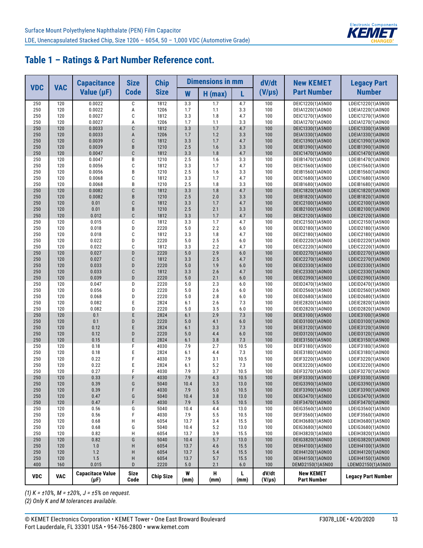

|            | <b>VAC</b> | <b>Capacitance</b>                   | <b>Size</b>         | <b>Chip</b>      |             | <b>Dimensions in mm</b> |              | dV/dt                | <b>New KEMET</b>                       | <b>Legacy Part</b>                     |
|------------|------------|--------------------------------------|---------------------|------------------|-------------|-------------------------|--------------|----------------------|----------------------------------------|----------------------------------------|
| <b>VDC</b> |            | Value $(\mu F)$                      | <b>Code</b>         | <b>Size</b>      | W           | $H$ (max)               | L            | $(V/\mu s)$          | <b>Part Number</b>                     | <b>Number</b>                          |
| 250        | 120        | 0.0022                               | C                   | 1812             | 3.3         | 1.7                     | 4.7          | 100                  | DEIC1220(1)A5N00                       | LDEIC1220(1)A5N00                      |
| 250        | 120        | 0.0022                               | A                   | 1206             | 1.7         | 1.1                     | 3.3          | 100                  | DEIA1220(1)A0N00                       | LDEIA1220(1)A0N00                      |
| 250        | 120        | 0.0027                               | C                   | 1812             | 3.3         | 1.8                     | 4.7          | 100                  | DEIC1270(1)A5N00                       | LDEIC1270(1)A5N00                      |
| 250        | 120        | 0.0027                               | A                   | 1206             | 1.7         | 1.1                     | 3.3          | 100                  | DEIA1270(1)A0N00                       | LDEIA1270(1)A0N00                      |
| 250        | 120        | 0.0033                               | C                   | 1812             | 3.3         | 1.7                     | 4.7          | 100                  | DEIC1330(1)A5N00                       | LDEIC1330(1)A5N00                      |
| 250<br>250 | 120<br>120 | 0.0033<br>0.0039                     | A<br>C              | 1206<br>1812     | 1.7<br>3.3  | 1.2<br>1.7              | 3.3<br>4.7   | 100<br>100           | DEIA1330(1)A0N00<br>DEIC1390(1)A5N00   | LDEIA1330(1)A0N00<br>LDEIC1390(1)A5N00 |
| 250        | 120        | 0.0039                               | B                   | 1210             | 2.5         | 1.6                     | 3.3          | 100                  | DEIB1390(1)A0N00                       | LDEIB1390(1)A0N00                      |
| 250        | 120        | 0.0047                               | C                   | 1812             | 3.3         | 1.8                     | 4.7          | 100                  | DEIC1470(1)A5N00                       | LDEIC1470(1)A5N00                      |
| 250        | 120        | 0.0047                               | В                   | 1210             | 2.5         | 1.6                     | 3.3          | 100                  | DEIB1470(1)A0N00                       | LDEIB1470(1)A0N00                      |
| 250        | 120        | 0.0056                               | C                   | 1812             | 3.3         | 1.7                     | 4.7          | 100                  | DEIC1560(1)A5N00                       | LDEIC1560(1)A5N00                      |
| 250        | 120        | 0.0056                               | B                   | 1210             | 2.5         | 1.6                     | 3.3          | 100                  | DEIB1560(1)A0N00                       | LDEIB1560(1)A0N00                      |
| 250        | 120        | 0.0068                               | C                   | 1812             | 3.3         | 1.7                     | 4.7          | 100                  | DEIC1680(1)A5N00                       | LDEIC1680(1)A5N00                      |
| 250        | 120        | 0.0068                               | B                   | 1210             | 2.5         | 1.8                     | 3.3          | 100                  | DEIB1680(1)A0N00                       | LDEIB1680(1)A0N00                      |
| 250        | 120        | 0.0082                               | C                   | 1812             | 3.3         | 1.8                     | 4.7          | 100                  | DEIC1820(1)A5N00                       | LDEIC1820(1)A5N00                      |
| 250        | 120        | 0.0082                               | B                   | 1210             | 2.5         | 2.0                     | 3.3          | 100                  | DEIB1820(1)A0N00                       | LDEIB1820(1)A0N00                      |
| 250        | 120        | 0.01                                 | C                   | 1812             | 3.3         | 1.7                     | 4.7          | 100                  | DEIC2100(1)A5N00                       | LDEIC2100(1)A5N00                      |
| 250        | 120        | 0.01                                 | B                   | 1210             | 2.5         | 2.1                     | 3.3          | 100                  | DEIB2100(1)A0N00                       | LDEIB2100(1)A0N00                      |
| 250<br>250 | 120<br>120 | 0.012<br>0.015                       | C<br>C              | 1812<br>1812     | 3.3<br>3.3  | 1.7                     | 4.7<br>4.7   | 100<br>100           | DEIC2120(1)A5N00                       | LDEIC2120(1)A5N00                      |
| 250        | 120        | 0.018                                | D                   | 2220             | 5.0         | 1.7<br>2.2              | 6.0          | 100                  | DEIC2150(1)A5N00<br>DEID2180(1)A5N00   | LDEIC2150(1)A5N00<br>LDEID2180(1)A5N00 |
| 250        | 120        | 0.018                                | C                   | 1812             | 3.3         | 1.8                     | 4.7          | 100                  | DEIC2180(1)A0N00                       | LDEIC2180(1)A0N00                      |
| 250        | 120        | 0.022                                | D                   | 2220             | 5.0         | 2.5                     | 6.0          | 100                  | DEID2220(1)A5N00                       | LDEID2220(1)A5N00                      |
| 250        | 120        | 0.022                                | C                   | 1812             | 3.3         | 2.2                     | 4.7          | 100                  | DEIC2220(1)A0N00                       | LDEIC2220(1)A0N00                      |
| 250        | 120        | 0.027                                | D                   | 2220             | 5.0         | 2.9                     | 6.0          | 100                  | DEID2270(1)A5N00                       | LDEID2270(1)A5N00                      |
| 250        | 120        | 0.027                                | C                   | 1812             | 3.3         | 2.5                     | 4.7          | 100                  | DEIC2270(1)A0N00                       | LDEIC2270(1)A0N00                      |
| 250        | 120        | 0.033                                | D                   | 2220             | 5.0         | 1.9                     | 6.0          | 100                  | DEID2330(1)A5N00                       | LDEID2330(1)A5N00                      |
| 250        | 120        | 0.033                                | C                   | 1812             | 3.3         | 2.6                     | 4.7          | 100                  | DEIC2330(1)A0N00                       | LDEIC2330(1)A0N00                      |
| 250        | 120        | 0.039                                | D                   | 2220             | 5.0         | 2.1                     | 6.0          | 100                  | DEID2390(1)A5N00                       | LDEID2390(1)A5N00                      |
| 250        | 120        | 0.047                                | D                   | 2220             | 5.0         | 2.3                     | 6.0          | 100                  | DEID2470(1)A5N00                       | LDEID2470(1)A5N00                      |
| 250        | 120        | 0.056                                | D                   | 2220             | 5.0         | 2.6                     | 6.0          | 100                  | DEID2560(1)A5N00                       | LDEID2560(1)A5N00                      |
| 250        | 120        | 0.068                                | D                   | 2220             | 5.0         | 2.8                     | 6.0          | 100                  | DEID2680(1)A5N00                       | LDEID2680(1)A5N00                      |
| 250        | 120        | 0.082                                | E                   | 2824             | 6.1         | 2.6                     | 7.3          | 100                  | DEIE2820(1)A5N00                       | LDEIE2820(1)A5N00                      |
| 250        | 120        | 0.082                                | D<br>E              | 2220             | 5.0         | 3.5<br>2.9              | 6.0<br>7.3   | 100                  | DEID2820(1)A0N00                       | LDEID2820(1)A0N00                      |
| 250<br>250 | 120<br>120 | 0.1<br>0.1                           | D                   | 2824<br>2220     | 6.1<br>5.0  | 4.1                     | 6.0          | 100<br>100           | DEIE3100(1)A5N00<br>DEID3100(1)A0N00   | LDEIE3100(1)A5N00<br>LDEID3100(1)A0N00 |
| 250        | 120        | 0.12                                 | E                   | 2824             | 6.1         | 3.3                     | 7.3          | 100                  | DEIE3120(1)A5N00                       | LDEIE3120(1)A5N00                      |
| 250        | 120        | 0.12                                 | D                   | 2220             | 5.0         | 4.4                     | 6.0          | 100                  | DEID3120(1)A0N00                       | LDEID3120(1)A0N00                      |
| 250        | 120        | 0.15                                 | E                   | 2824             | 6.1         | 3.8                     | 7.3          | 100                  | DEIE3150(1)A5N00                       | LDEIE3150(1)A5N00                      |
| 250        | 120        | 0.18                                 | F                   | 4030             | 7.9         | 2.7                     | 10.5         | 100                  | DEIF3180(1)A5N00                       | LDEIF3180(1)A5N00                      |
| 250        | 120        | 0.18                                 | E                   | 2824             | 6.1         | 4.4                     | 7.3          | 100                  | DEIE3180(1)A0N00                       | LDEIE3180(1)A0N00                      |
| 250        | 120        | 0.22                                 | F                   | 4030             | 7.9         | 3.1                     | 10.5         | 100                  | DEIF3220(1)A5N00                       | LDEIF3220(1)A5N00                      |
| 250        | 120        | 0.22                                 | E                   | 2824             | 6.1         | 5.2                     | 7.3          | 100                  | DEIE3220(1)A0N00                       | LDEIE3220(1)A0N00                      |
| 250        | 120        | 0.27                                 | F                   | 4030             | 7.9         | 3.7                     | 10.5         | 100                  | DEIF3270(1)A5N00                       | LDEIF3270(1)A5N00                      |
| 250        | 120        | 0.33                                 | F                   | 4030             | 7.9         | 4.3                     | 10.5         | 100                  | DEIF3330(1)A5N00                       | LDEIF3330(1)A5N00                      |
| 250        | 120        | 0.39                                 | G                   | 5040             | 10.4        | 3.3                     | 13.0         | 100                  | DEIG3390(1)A5N00                       | LDEIG3390(1)A5N00                      |
| 250        | 120        | 0.39                                 | F                   | 4030             | 7.9         | 5.0                     | 10.5         | 100                  | DEIF3390(1)A0N00                       | LDEIF3390(1)A0N00                      |
| 250        | 120        | 0.47                                 | G<br>F              | 5040             | 10.4        | 3.8                     | 13.0         | 100                  | DEIG3470(1)A5N00                       | LDEIG3470(1)A5N00                      |
| 250<br>250 | 120<br>120 | 0.47<br>0.56                         | G                   | 4030<br>5040     | 7.9<br>10.4 | $5.5$<br>4.4            | 10.5<br>13.0 | 100<br>100           | DEIF3470(1)A0N00<br>DEIG3560(1)A5N00   | LDEIF3470(1)A0N00<br>LDEIG3560(1)A5N00 |
| 250        | 120        | 0.56                                 | F                   | 4030             | 7.9         | 5.5                     | 10.5         | 100                  | DEIF3560(1)A0N00                       | LDEIF3560(1)A0N00                      |
| 250        | 120        | 0.68                                 | H                   | 6054             | 13.7        | 3.4                     | 15.5         | 100                  | DEIH3680(1)A5N00                       | LDEIH3680(1)A5N00                      |
| 250        | 120        | 0.68                                 | G                   | 5040             | 10.4        | 5.2                     | 13.0         | 100                  | DEIG3680(1)A0N00                       | LDEIG3680(1)A0N00                      |
| 250        | 120        | 0.82                                 | H                   | 6054             | 13.7        | 3.9                     | 15.5         | 100                  | DEIH3820(1)A5N00                       | LDEIH3820(1)A5N00                      |
| 250        | 120        | 0.82                                 | G                   | 5040             | 10.4        | 5.7                     | 13.0         | 100                  | DEIG3820(1)A0N00                       | LDEIG3820(1)A0N00                      |
| 250        | 120        | 1.0                                  | Н                   | 6054             | 13.7        | 4.6                     | 15.5         | 100                  | DEIH4100(1)A5N00                       | LDEIH4100(1)A5N00                      |
| 250        | 120        | 1.2                                  | H                   | 6054             | 13.7        | 5.4                     | 15.5         | 100                  | DEIH4120(1)A0N00                       | LDEIH4120(1)A0N00                      |
| 250        | 120        | 1.5                                  | H                   | 6054             | 13.7        | 5.7                     | 15.5         | 100                  | DEIH4150(1)A0N00                       | LDEIH4150(1)A0N00                      |
| 400        | 160        | 0.015                                | D                   | 2220             | 5.0         | 2.1                     | 6.0          | 100                  | DEMD2150(1)A5N00                       | LDEMD2150(1)A5N00                      |
| <b>VDC</b> | <b>VAC</b> | <b>Capacitace Value</b><br>$(\mu F)$ | <b>Size</b><br>Code | <b>Chip Size</b> | W<br>(mm)   | н<br>(mm)               | Г<br>(mm)    | dV/dt<br>$(V/\mu s)$ | <b>New KEMET</b><br><b>Part Number</b> | <b>Legacy Part Number</b>              |

*(1) K = ±10%, M = ±20%, J = ±5% on request.*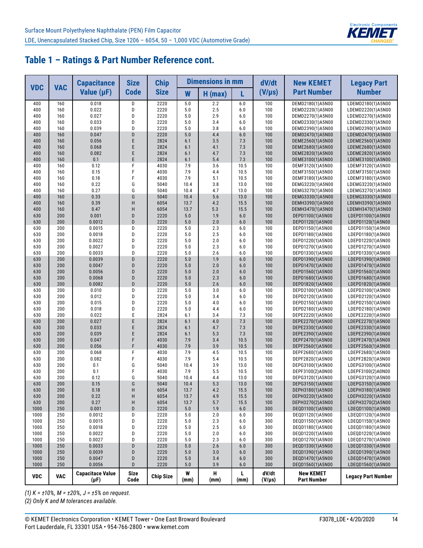

|             | <b>VAC</b> | <b>Capacitance</b>                   | <b>Size</b>         | <b>Chip</b>      |             | <b>Dimensions in mm</b> |             | dV/dt                | <b>New KEMET</b>                       | <b>Legacy Part</b>                     |
|-------------|------------|--------------------------------------|---------------------|------------------|-------------|-------------------------|-------------|----------------------|----------------------------------------|----------------------------------------|
| <b>VDC</b>  |            | Value $(\mu F)$                      | <b>Code</b>         | <b>Size</b>      | W           | $H$ (max)               | L           | $(V/\mu s)$          | <b>Part Number</b>                     | <b>Number</b>                          |
| 400         | 160        | 0.018                                | D                   | 2220             | 5.0         | 2.2                     | 6.0         | 100                  | DEMD2180(1)A5N00                       | LDEMD2180(1)A5N00                      |
| 400         | 160        | 0.022                                | D                   | 2220             | 5.0         | 2.5                     | 6.0         | 100                  | DEMD2220(1)A5N00                       | LDEMD2220(1)A5N00                      |
| 400         | 160        | 0.027                                | D                   | 2220             | 5.0         | 2.9                     | 6.0         | 100                  | DEMD2270(1)A5N00                       | LDEMD2270(1)A5N00                      |
| 400         | 160        | 0.033                                | D                   | 2220             | 5.0         | 3.4                     | 6.0         | 100                  | DEMD2330(1)A5N00                       | LDEMD2330(1)A5N00                      |
| 400         | 160<br>160 | 0.039<br>0.047                       | D<br>D              | 2220<br>2220     | 5.0<br>5.0  | 3.8<br>4.4              | 6.0<br>6.0  | 100<br>100           | DEMD2390(1)A5N00                       | LDEMD2390(1)A5N00                      |
| 400<br>400  | 160        | 0.056                                | E                   | 2824             | 6.1         | 3.5                     | 7.3         | 100                  | DEMD2470(1)A5N00<br>DEME2560(1)A5N00   | LDEMD2470(1)A5N00<br>LDEME2560(1)A5N00 |
| 400         | 160        | 0.068                                | E                   | 2824             | 6.1         | 4.1                     | 7.3         | 100                  | DEME2680(1)A5N00                       | LDEME2680(1)A5N00                      |
| 400         | 160        | 0.082                                | E                   | 2824             | 6.1         | 4.7                     | 7.3         | 100                  | DEME2820(1)A5N00                       | LDEME2820(1)A5N00                      |
| 400         | 160        | 0.1                                  | E                   | 2824             | 6.1         | 5.4                     | 7.3         | 100                  | DEME3100(1)A5N00                       | LDEME3100(1)A5N00                      |
| 400         | 160        | 0.12                                 | F                   | 4030             | 7.9         | 3.6                     | 10.5        | 100                  | DEMF3120(1)A5N00                       | LDEMF3120(1)A5N00                      |
| 400         | 160        | 0.15                                 | F                   | 4030             | 7.9         | 4.4                     | 10.5        | 100                  | DEMF3150(1)A5N00                       | LDEMF3150(1)A5N00                      |
| 400         | 160        | 0.18                                 | F                   | 4030             | 7.9         | 5.1                     | 10.5        | 100                  | DEMF3180(1)A5N00                       | LDEMF3180(1)A5N00                      |
| 400         | 160        | 0.22                                 | G                   | 5040             | 10.4        | 3.8                     | 13.0        | 100                  | DEMG3220(1)A5N00                       | LDEMG3220(1)A5N00                      |
| 400         | 160        | 0.27                                 | G                   | 5040             | 10.4        | 4.7                     | 13.0        | 100                  | DEMG3270(1)A5N00                       | LDEMG3270(1)A5N00                      |
| 400         | 160        | 0.33                                 | G                   | 5040             | 10.4        | 5.6                     | 13.0        | 100                  | DEMG3330(1)A5N00                       | LDEMG3330(1)A5N00                      |
| 400         | 160        | 0.39                                 | H                   | 6054             | 13.7        | 4.2                     | 15.5        | 100                  | DEMH3390(1)A5N00                       | LDEMH3390(1)A5N00                      |
| 400         | 160        | 0.47                                 | H                   | 6054             | 13.7        | 5.3                     | 15.5        | 100                  | DEMH3470(1)A5N00                       | LDEMH3470(1)A5N00                      |
| 630         | 200<br>200 | 0.001<br>0.0012                      | D<br>D              | 2220<br>2220     | 5.0<br>5.0  | 1.9                     | 6.0<br>6.0  | 100<br>100           | DEPD1100(1)A5N00                       | LDEPD1100(1)A5N00<br>LDEPD1120(1)A5N00 |
| 630<br>630  | 200        | 0.0015                               | D                   | 2220             | 5.0         | 2.0<br>2.3              | 6.0         | 100                  | DEPD1120(1)A5N00<br>DEPD1150(1)A5N00   | LDEPD1150(1)A5N00                      |
| 630         | 200        | 0.0018                               | D                   | 2220             | 5.0         | 2.5                     | 6.0         | 100                  | DEPD1180(1)A5N00                       | LDEPD1180(1)A5N00                      |
| 630         | 200        | 0.0022                               | D                   | 2220             | 5.0         | 2.0                     | 6.0         | 100                  | DEPD1220(1)A5N00                       | LDEPD1220(1)A5N00                      |
| 630         | 200        | 0.0027                               | D                   | 2220             | 5.0         | 2.3                     | 6.0         | 100                  | DEPD1270(1)A5N00                       | LDEPD1270(1)A5N00                      |
| 630         | 200        | 0.0033                               | D                   | 2220             | 5.0         | 2.6                     | 6.0         | 100                  | DEPD1330(1)A5N00                       | LDEPD1330(1)A5N00                      |
| 630         | 200        | 0.0039                               | D                   | 2220             | 5.0         | 1.9                     | 6.0         | 100                  | DEPD1390(1)A5N00                       | LDEPD1390(1)A5N00                      |
| 630         | 200        | 0.0047                               | D                   | 2220             | 5.0         | 2.0                     | 6.0         | 100                  | DEPD1470(1)A5N00                       | LDEPD1470(1)A5N00                      |
| 630         | 200        | 0.0056                               | D                   | 2220             | 5.0         | 2.0                     | 6.0         | 100                  | DEPD1560(1)A5N00                       | LDEPD1560(1)A5N00                      |
| 630         | 200        | 0.0068                               | D                   | 2220             | 5.0         | 2.3                     | 6.0         | 100                  | DEPD1680(1)A5N00                       | LDEPD1680(1)A5N00                      |
| 630         | 200        | 0.0082                               | D                   | 2220             | 5.0         | 2.6                     | 6.0         | 100                  | DEPD1820(1)A5N00                       | LDEPD1820(1)A5N00                      |
| 630         | 200        | 0.010                                | D                   | 2220             | 5.0         | 3.0                     | 6.0         | 100                  | DEPD2100(1)A5N00                       | LDEPD2100(1)A5N00                      |
| 630         | 200        | 0.012                                | D                   | 2220             | 5.0         | 3.4                     | 6.0         | 100                  | DEPD2120(1)A5N00                       | LDEPD2120(1)A5N00                      |
| 630         | 200        | 0.015                                | D                   | 2220             | 5.0         | 4.0                     | 6.0         | 100                  | DEPD2150(1)A5N00                       | LDEPD2150(1)A5N00                      |
| 630         | 200        | 0.018                                | D<br>E              | 2220             | 5.0         | 4.4                     | 6.0         | 100                  | DEPD2180(1)A5N00                       | LDEPD2180(1)A5N00                      |
| 630<br>630  | 200<br>200 | 0.022<br>0.027                       | E                   | 2824<br>2824     | 6.1<br>6.1  | 3.4<br>4.0              | 7.3<br>7.3  | 100<br>100           | DEPE2220(1)A5N00<br>DEPE2270(1)A5N00   | LDEPE2220(1)A5N00<br>LDEPE2270(1)A5N00 |
| 630         | 200        | 0.033                                | E                   | 2824             | 6.1         | 4.7                     | 7.3         | 100                  | DEPE2330(1)A5N00                       | LDEPE2330(1)A5N00                      |
| 630         | 200        | 0.039                                | E                   | 2824             | 6.1         | 5.3                     | 7.3         | 100                  | DEPE2390(1)A5N00                       | LDEPE2390(1)A5N00                      |
| 630         | 200        | 0.047                                | F                   | 4030             | 7.9         | 3.4                     | 10.5        | 100                  | DEPF2470(1)A5N00                       | LDEPF2470(1)A5N00                      |
| 630         | 200        | 0.056                                | F                   | 4030             | 7.9         | 3.9                     | 10.5        | 100                  | DEPF2560(1)A5N00                       | LDEPF2560(1)A5N00                      |
| 630         | 200        | 0.068                                | F                   | 4030             | 7.9         | 4.5                     | 10.5        | 100                  | DEPF2680(1)A5N00                       | LDEPF2680(1)A5N00                      |
| 630         | 200        | 0.082                                | F                   | 4030             | 7.9         | 5.4                     | 10.5        | 100                  | DEPF2820(1)A5N00                       | LDEPF2820(1)A5N00                      |
| 630         | 200        | 0.1                                  | G                   | 5040             | 10.4        | 3.9                     | 13.0        | 100                  | DEPG3100(1)A5N00                       | LDEPG3100(1)A5N00                      |
| 630         | 200        | 0.1                                  | F                   | 4030             | 7.9         | 5.5                     | 10.5        | 100                  | DEPF3100(2)A0N00                       | LDEPF3100(2)A0N00                      |
| 630         | 200        | 0.12                                 | G                   | 5040             | 10.4        | 4.4                     | 13.0        | 100                  | DEPG3120(1)A5N00                       | LDEPG3120(1)A5N00                      |
| 630         | 200        | 0.15                                 | G                   | 5040             | 10.4        | 5.3                     | 13.0        | 100                  | DEPG3150(1)A5N00                       | LDEPG3150(1)A5N00                      |
| 630         | 200        | 0.18                                 | H                   | 6054             | 13.7        | 4.2                     | 15.5        | 100                  | DEPH3180(1)A5N00                       | LDEPH3180(1)A5N00                      |
| 630         | 200<br>200 | 0.22<br>0.27                         | H<br>H              | 6054<br>6054     | 13.7        | 4.9                     | 15.5        | 100<br>100           | DEPH3220(1)A5N00<br>DEPH3270(2)A5N00   | LDEPH3220(1)A5N00                      |
| 630<br>1000 | 250        | 0.001                                | D                   | 2220             | 13.7<br>5.0 | 5.7<br>1.9              | 15.5<br>6.0 | 300                  | DEQD1100(1)A5N00                       | LDEPH3270(2)A5N00<br>LDEQD1100(1)A5N00 |
| 1000        | 250        | 0.0012                               | D                   | 2220             | 5.0         | 2.0                     | 6.0         | 300                  | DEQD1120(1)A5N00                       | LDEQD1120(1)A5N00                      |
| 1000        | 250        | 0.0015                               | D                   | 2220             | 5.0         | 2.3                     | 6.0         | 300                  | DEQD1150(1)A5N00                       | LDEQD1150(1)A5N00                      |
| 1000        | 250        | 0.0018                               | D                   | 2220             | 5.0         | 2.5                     | 6.0         | 300                  | DEQD1180(1)A5N00                       | LDEQD1180(1)A5N00                      |
| 1000        | 250        | 0.0022                               | D                   | 2220             | 5.0         | 2.0                     | 6.0         | 300                  | DEQD1220(1)A5N00                       | LDEQD1220(1)A5N00                      |
| 1000        | 250        | 0.0027                               | D                   | 2220             | 5.0         | 2.3                     | 6.0         | 300                  | DEQD1270(1)A5N00                       | LDEQD1270(1)A5N00                      |
| 1000        | 250        | 0.0033                               | D                   | 2220             | 5.0         | 2.6                     | 6.0         | 300                  | DEQD1330(1)A5N00                       | LDEQD1330(1)A5N00                      |
| 1000        | 250        | 0.0039                               | D                   | 2220             | 5.0         | 3.0                     | 6.0         | 300                  | DEQD1390(1)A5N00                       | LDEQD1390(1)A5N00                      |
| 1000        | 250        | 0.0047                               | D                   | 2220             | 5.0         | 3.4                     | 6.0         | 300                  | DEQD1470(1)A5N00                       | LDEQD1470(1)A5N00                      |
| 1000        | 250        | 0.0056                               | D                   | 2220             | 5.0         | 3.9                     | 6.0         | 300                  | DEQD1560(1)A5N00                       | LDEQD1560(1)A5N00                      |
| <b>VDC</b>  | <b>VAC</b> | <b>Capacitace Value</b><br>$(\mu F)$ | <b>Size</b><br>Code | <b>Chip Size</b> | W<br>(mm)   | н<br>(mm)               | L<br>(mm)   | dV/dt<br>$(V/\mu s)$ | <b>New KEMET</b><br><b>Part Number</b> | <b>Legacy Part Number</b>              |

*(1) K = ±10%, M = ±20%, J = ±5% on request.*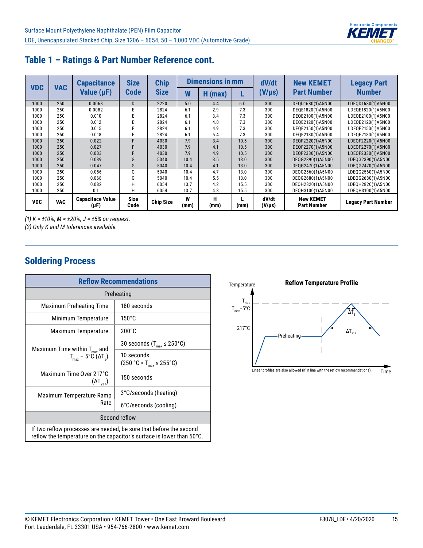

| <b>VDC</b> | <b>VAC</b> | <b>Capacitance</b>                   | <b>Size</b>         | <b>Chip</b>      | <b>Dimensions in mm</b> |            |      | dV/dt                | <b>New KEMET</b>                       | <b>Legacy Part</b>        |  |
|------------|------------|--------------------------------------|---------------------|------------------|-------------------------|------------|------|----------------------|----------------------------------------|---------------------------|--|
|            |            | Value $(\mu F)$                      | <b>Code</b>         | <b>Size</b>      | W                       | н<br>(max) |      | $(V/\mu s)$          | <b>Part Number</b>                     | <b>Number</b>             |  |
| 1000       | 250        | 0.0068                               | D                   | 2220             | 5.0                     | 4.4        | 6.0  | 300                  | DEQD1680(1)A5N00                       | LDEQD1680(1)A5N00         |  |
| 1000       | 250        | 0.0082                               |                     | 2824             | 6.1                     | 2.9        | 7.3  | 300                  | DEQE1820(1)A5N00                       | LDEQE1820(1)A5N00         |  |
| 1000       | 250        | 0.010                                |                     | 2824             | 6.1                     | 3.4        | 7.3  | 300                  | DEQE2100(1)A5N00                       | LDEQE2100(1)A5N00         |  |
| 1000       | 250        | 0.012                                |                     | 2824             | 6.1                     | 4.0        | 7.3  | 300                  | DEQE2120(1)A5N00                       | LDEQE2120(1)A5N00         |  |
| 1000       | 250        | 0.015                                |                     | 2824             | 6.1                     | 4.9        | 7.3  | 300                  | DEQE2150(1)A5N00                       | LDEQE2150(1)A5N00         |  |
| 1000       | 250        | 0.018                                |                     | 2824             | 6.1                     | 5.4        | 7.3  | 300                  | DEQE2180(1)A5N00                       | LDEQE2180(1)A5N00         |  |
| 1000       | 250        | 0.022                                |                     | 4030             | 7.9                     | 3.4        | 10.5 | 300                  | DEQF2220(1)A5N00                       | LDEQF2220(1)A5N00         |  |
| 1000       | 250        | 0.027                                |                     | 4030             | 7.9                     | 4.1        | 10.5 | 300                  | DEQF2270(1)A5N00                       | LDEQF2270(1)A5N00         |  |
| 1000       | 250        | 0.033                                |                     | 4030             | 7.9                     | 4.9        | 10.5 | 300                  | DEQF2330(1)A5N00                       | LDEQF2330(1)A5N00         |  |
| 1000       | 250        | 0.039                                | G                   | 5040             | 10.4                    | 3.5        | 13.0 | 300                  | DEQG2390(1)A5N00                       | LDEQG2390(1)A5N00         |  |
| 1000       | 250        | 0.047                                | G                   | 5040             | 10.4                    | 4.1        | 13.0 | 300                  | DEQG2470(1)A5N00                       | LDEQG2470(1)A5N00         |  |
| 1000       | 250        | 0.056                                | G                   | 5040             | 10.4                    | 4.7        | 13.0 | 300                  | DEQG2560(1)A5N00                       | LDEQG2560(1)A5N00         |  |
| 1000       | 250        | 0.068                                | G                   | 5040             | 10.4                    | 5.5        | 13.0 | 300                  | DEQG2680(1)A5N00                       | LDEQG2680(1)A5N00         |  |
| 1000       | 250        | 0.082                                | Н                   | 6054             | 13.7                    | 4.2        | 15.5 | 300                  | DEQH2820(1)A5N00                       | LDEQH2820(1)A5N00         |  |
| 1000       | 250        | 0.1                                  | Н                   | 6054             | 13.7                    | 4.8        | 15.5 | 300                  | DEQH3100(1)A5N00                       | LDEQH3100(1)A5N00         |  |
| <b>VDC</b> | <b>VAC</b> | <b>Capacitace Value</b><br>$(\mu F)$ | <b>Size</b><br>Code | <b>Chip Size</b> | W<br>(mm)               | н<br>(mm)  | (mm) | dV/dt<br>$(V/\mu s)$ | <b>New KEMET</b><br><b>Part Number</b> | <b>Legacy Part Number</b> |  |

*(1) K = ±10%, M = ±20%, J = ±5% on request.*

*(2) Only K and M tolerances available.*

### **Soldering Process**

| <b>Reflow Recommendations</b>                                                                                                               |                                               |  |  |  |  |  |  |
|---------------------------------------------------------------------------------------------------------------------------------------------|-----------------------------------------------|--|--|--|--|--|--|
| Preheating                                                                                                                                  |                                               |  |  |  |  |  |  |
| <b>Maximum Preheating Time</b>                                                                                                              | 180 seconds                                   |  |  |  |  |  |  |
| Minimum Temperature                                                                                                                         | $150^{\circ}$ C                               |  |  |  |  |  |  |
| Maximum Temperature                                                                                                                         | $200^{\circ}$ C                               |  |  |  |  |  |  |
|                                                                                                                                             | 30 seconds ( $T_{\text{max}}$ $\leq$ 250°C)   |  |  |  |  |  |  |
| Maximum Time within $T_{max}$ and<br>$T_{\text{max}}$ – 5°C ( $\Delta T_{\text{s}}$ )                                                       | 10 seconds<br>$(250 °C < T_{max} \le 255 °C)$ |  |  |  |  |  |  |
| Maximum Time Over 217°C<br>$(\Delta T_{217})$                                                                                               | 150 seconds                                   |  |  |  |  |  |  |
| Maximum Temperature Ramp                                                                                                                    | 3°C/seconds (heating)                         |  |  |  |  |  |  |
| Rate                                                                                                                                        | 6°C/seconds (cooling)                         |  |  |  |  |  |  |
| Second reflow                                                                                                                               |                                               |  |  |  |  |  |  |
| If two reflow processes are needed, be sure that before the second<br>reflow the temperature on the capacitor's surface is lower than 50°C. |                                               |  |  |  |  |  |  |

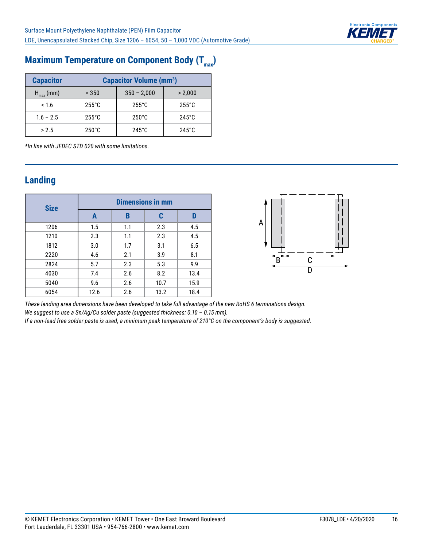

# **Maximum Temperature on Component Body (T<sub>max</sub>)**

| <b>Capacitor</b> | <b>Capacitor Volume (mm<sup>3</sup>)</b> |                 |                 |  |  |  |  |
|------------------|------------------------------------------|-----------------|-----------------|--|--|--|--|
| $H_{max}(mm)$    | < 350                                    | $350 - 2,000$   | > 2.000         |  |  |  |  |
| < 1.6            | $255^{\circ}$ C                          | $255^{\circ}$ C | $255^{\circ}$ C |  |  |  |  |
| $1.6 - 2.5$      | $255^{\circ}$ C                          | $250^{\circ}$ C | $245^{\circ}$ C |  |  |  |  |
| > 2.5            | $250^{\circ}$ C                          | $245^{\circ}$ C | $245^{\circ}$ C |  |  |  |  |

*\*In line with JEDEC STD 020 with some limitations.*

#### **Landing**

| <b>Size</b> | <b>Dimensions in mm</b> |     |      |      |  |  |  |  |
|-------------|-------------------------|-----|------|------|--|--|--|--|
|             | A                       | B   | C    | D    |  |  |  |  |
| 1206        | 1.5                     | 1.1 | 2.3  | 4.5  |  |  |  |  |
| 1210        | 2.3                     | 1.1 | 2.3  | 4.5  |  |  |  |  |
| 1812        | 3.0                     | 1.7 | 3.1  | 6.5  |  |  |  |  |
| 2220        | 4.6                     | 2.1 | 3.9  | 8.1  |  |  |  |  |
| 2824        | 5.7                     | 2.3 | 5.3  | 9.9  |  |  |  |  |
| 4030        | 7.4                     | 2.6 | 8.2  | 13.4 |  |  |  |  |
| 5040        | 9.6                     | 2.6 | 10.7 | 15.9 |  |  |  |  |
| 6054        | 12.6                    | 2.6 | 13.2 | 18.4 |  |  |  |  |



*These landing area dimensions have been developed to take full advantage of the new RoHS 6 terminations design. We suggest to use a Sn/Ag/Cu solder paste (suggested thickness: 0.10 – 0.15 mm).*

*If a non-lead free solder paste is used, a minimum peak temperature of 210°C on the component's body is suggested.*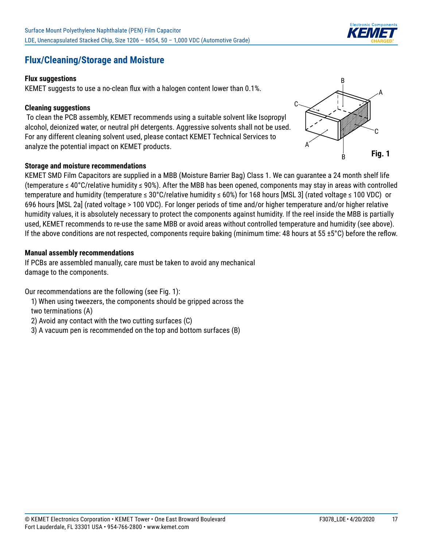#### **Flux/Cleaning/Storage and Moisture**

#### **Flux suggestions**

KEMET suggests to use a no-clean flux with a halogen content lower than 0.1%.

#### **Cleaning suggestions**

 To clean the PCB assembly, KEMET recommends using a suitable solvent like Isopropyl alcohol, deionized water, or neutral pH detergents. Aggressive solvents shall not be used. For any different cleaning solvent used, please contact KEMET Technical Services to analyze the potential impact on KEMET products.

#### **Storage and moisture recommendations**

KEMET SMD Film Capacitors are supplied in a MBB (Moisture Barrier Bag) Class 1. We can guarantee a 24 month shelf life (temperature ≤ 40°C/relative humidity ≤ 90%). After the MBB has been opened, components may stay in areas with controlled temperature and humidity (temperature ≤ 30°C/relative humidity ≤ 60%) for 168 hours [MSL 3] (rated voltage ≤ 100 VDC) or 696 hours [MSL 2a] (rated voltage > 100 VDC). For longer periods of time and/or higher temperature and/or higher relative humidity values, it is absolutely necessary to protect the components against humidity. If the reel inside the MBB is partially used, KEMET recommends to re-use the same MBB or avoid areas without controlled temperature and humidity (see above). If the above conditions are not respected, components require baking (minimum time: 48 hours at 55  $\pm$ 5°C) before the reflow.

#### **Manual assembly recommendations**

If PCBs are assembled manually, care must be taken to avoid any mechanical damage to the components.

Our recommendations are the following (see Fig. 1):

- 1) When using tweezers, the components should be gripped across the
- two terminations (A)
- 2) Avoid any contact with the two cutting surfaces (C)
- 3) A vacuum pen is recommended on the top and bottom surfaces (B)



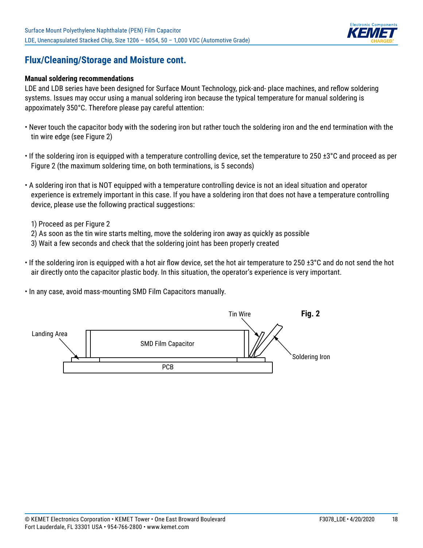

#### **Flux/Cleaning/Storage and Moisture cont.**

#### **Manual soldering recommendations**

LDE and LDB series have been designed for Surface Mount Technology, pick-and- place machines, and reflow soldering systems. Issues may occur using a manual soldering iron because the typical temperature for manual soldering is appoximately 350°C. Therefore please pay careful attention:

- Never touch the capacitor body with the sodering iron but rather touch the soldering iron and the end termination with the tin wire edge (see Figure 2)
- If the soldering iron is equipped with a temperature controlling device, set the temperature to 250 ±3°C and proceed as per Figure 2 (the maximum soldering time, on both terminations, is 5 seconds)
- A soldering iron that is NOT equipped with a temperature controlling device is not an ideal situation and operator experience is extremely important in this case. If you have a soldering iron that does not have a temperature controlling device, please use the following practical suggestions:
	- 1) Proceed as per Figure 2
	- 2) As soon as the tin wire starts melting, move the soldering iron away as quickly as possible
- 3) Wait a few seconds and check that the soldering joint has been properly created
- If the soldering iron is equipped with a hot air flow device, set the hot air temperature to 250 ±3°C and do not send the hot air directly onto the capacitor plastic body. In this situation, the operator's experience is very important.
- In any case, avoid mass-mounting SMD Film Capacitors manually.

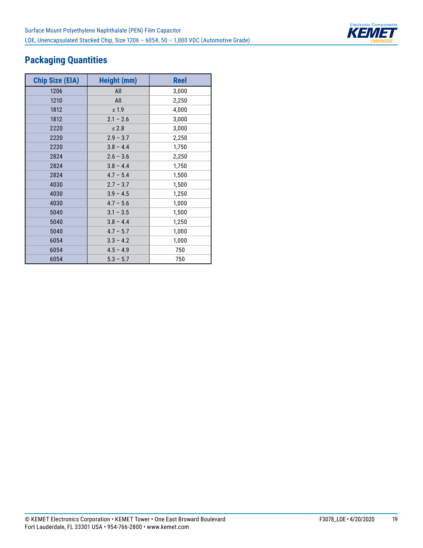

## **Packaging Quantities**

| <b>Chip Size (EIA)</b> | <b>Height (mm)</b> | <b>Reel</b> |
|------------------------|--------------------|-------------|
| 1206                   | All                | 3,000       |
| 1210                   | All                | 2,250       |
| 1812                   | $\leq 1.9$         | 4,000       |
| 1812                   | $2.1 - 2.6$        | 3,000       |
| 2220                   | $\leq 2.8$         | 3,000       |
| 2220                   | $2.9 - 3.7$        | 2,250       |
| 2220                   | $3.8 - 4.4$        | 1,750       |
| 2824                   | $2.6 - 3.6$        | 2,250       |
| 2824                   | $3.8 - 4.4$        | 1,750       |
| 2824                   | $4.7 - 5.4$        | 1,500       |
| 4030                   | $2.7 - 3.7$        | 1,500       |
| 4030                   | $3.9 - 4.5$        | 1,250       |
| 4030                   | $4.7 - 5.6$        | 1,000       |
| 5040                   | $3.1 - 3.5$        | 1,500       |
| 5040                   | $3.8 - 4.4$        | 1,250       |
| 5040                   | $4.7 - 5.7$        | 1,000       |
| 6054                   | $3.3 - 4.2$        | 1,000       |
| 6054                   | $4.5 - 4.9$        | 750         |
| 6054                   | $5.3 - 5.7$        | 750         |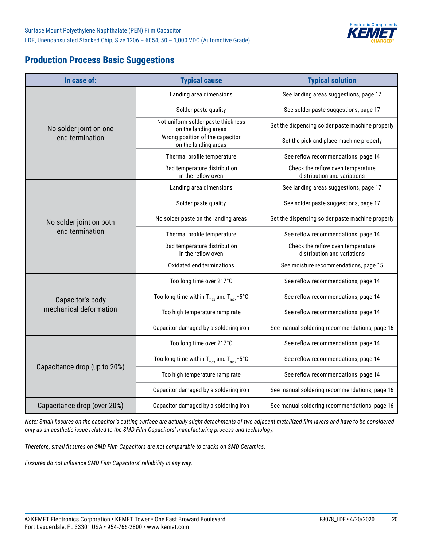

#### **Production Process Basic Suggestions**

| In case of:                  | <b>Typical cause</b>                                       | <b>Typical solution</b>                                          |  |  |  |
|------------------------------|------------------------------------------------------------|------------------------------------------------------------------|--|--|--|
|                              | Landing area dimensions                                    | See landing areas suggestions, page 17                           |  |  |  |
|                              | Solder paste quality                                       | See solder paste suggestions, page 17                            |  |  |  |
| No solder joint on one       | Not-uniform solder paste thickness<br>on the landing areas | Set the dispensing solder paste machine properly                 |  |  |  |
| end termination              | Wrong position of the capacitor<br>on the landing areas    | Set the pick and place machine properly                          |  |  |  |
|                              | Thermal profile temperature                                | See reflow recommendations, page 14                              |  |  |  |
|                              | Bad temperature distribution<br>in the reflow oven         | Check the reflow oven temperature<br>distribution and variations |  |  |  |
|                              | Landing area dimensions                                    | See landing areas suggestions, page 17                           |  |  |  |
|                              | Solder paste quality                                       | See solder paste suggestions, page 17                            |  |  |  |
| No solder joint on both      | No solder paste on the landing areas                       | Set the dispensing solder paste machine properly                 |  |  |  |
| end termination              | Thermal profile temperature                                | See reflow recommendations, page 14                              |  |  |  |
|                              | Bad temperature distribution<br>in the reflow oven         | Check the reflow oven temperature<br>distribution and variations |  |  |  |
|                              | Oxidated end terminations                                  | See moisture recommendations, page 15                            |  |  |  |
|                              | Too long time over 217°C                                   | See reflow recommendations, page 14                              |  |  |  |
| Capacitor's body             | Too long time within $T_{max}$ and $T_{max}$ -5°C          | See reflow recommendations, page 14                              |  |  |  |
| mechanical deformation       | Too high temperature ramp rate                             | See reflow recommendations, page 14                              |  |  |  |
|                              | Capacitor damaged by a soldering iron                      | See manual soldering recommendations, page 16                    |  |  |  |
|                              | Too long time over 217°C                                   | See reflow recommendations, page 14                              |  |  |  |
|                              | Too long time within $T_{max}$ and $T_{max}$ -5°C          | See reflow recommendations, page 14                              |  |  |  |
| Capacitance drop (up to 20%) | Too high temperature ramp rate                             | See reflow recommendations, page 14                              |  |  |  |
|                              | Capacitor damaged by a soldering iron                      | See manual soldering recommendations, page 16                    |  |  |  |
| Capacitance drop (over 20%)  | Capacitor damaged by a soldering iron                      | See manual soldering recommendations, page 16                    |  |  |  |

*Note: Small fissures on the capacitor's cutting surface are actually slight detachments of two adjacent metallized film layers and have to be considered only as an aesthetic issue related to the SMD Film Capacitors' manufacturing process and technology.*

*Therefore, small fissures on SMD Film Capacitors are not comparable to cracks on SMD Ceramics.*

*Fissures do not influence SMD Film Capacitors' reliability in any way.*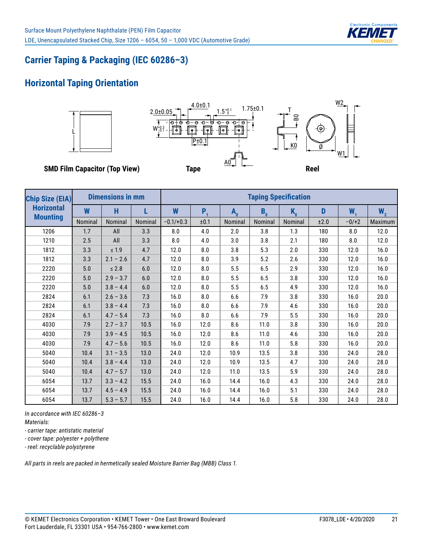

## **Carrier Taping & Packaging (IEC 60286–3)**

#### **Horizontal Taping Orientation**



| <b>Chip Size (EIA)</b> | <b>Dimensions in mm</b> |             |         | <b>Taping Specification</b> |         |         |                |         |      |         |                |
|------------------------|-------------------------|-------------|---------|-----------------------------|---------|---------|----------------|---------|------|---------|----------------|
| <b>Horizontal</b>      | W                       | H           | L       | W                           | $P_{1}$ | $A_{0}$ | B <sub>0</sub> | $K_{0}$ | D    | $W_{1}$ | W <sub>2</sub> |
| <b>Mounting</b>        | Nominal                 | Nominal     | Nominal | $-0.1/+0.3$                 | ±0.1    | Nominal | Nominal        | Nominal | ±2.0 | $-0/+2$ | Maximum        |
| 1206                   | 1.7                     | All         | 3.3     | 8.0                         | 4.0     | 2.0     | 3.8            | 1.3     | 180  | 8.0     | 12.0           |
| 1210                   | 2.5                     | All         | 3.3     | 8.0                         | 4.0     | 3.0     | 3.8            | 2.1     | 180  | 8.0     | 12.0           |
| 1812                   | 3.3                     | $\leq 1.9$  | 4.7     | 12.0                        | 8.0     | 3.8     | 5.3            | 2.0     | 330  | 12.0    | 16.0           |
| 1812                   | 3.3                     | $2.1 - 2.6$ | 4.7     | 12.0                        | 8.0     | 3.9     | 5.2            | 2.6     | 330  | 12.0    | 16.0           |
| 2220                   | 5.0                     | $\leq 2.8$  | 6.0     | 12.0                        | 8.0     | 5.5     | 6.5            | 2.9     | 330  | 12.0    | 16.0           |
| 2220                   | 5.0                     | $2.9 - 3.7$ | 6.0     | 12.0                        | 8.0     | 5.5     | 6.5            | 3.8     | 330  | 12.0    | 16.0           |
| 2220                   | 5.0                     | $3.8 - 4.4$ | 6.0     | 12.0                        | 8.0     | 5.5     | 6.5            | 4.9     | 330  | 12.0    | 16.0           |
| 2824                   | 6.1                     | $2.6 - 3.6$ | 7.3     | 16.0                        | 8.0     | 6.6     | 7.9            | 3.8     | 330  | 16.0    | 20.0           |
| 2824                   | 6.1                     | $3.8 - 4.4$ | 7.3     | 16.0                        | 8.0     | 6.6     | 7.9            | 4.6     | 330  | 16.0    | 20.0           |
| 2824                   | 6.1                     | $4.7 - 5.4$ | 7.3     | 16.0                        | 8.0     | 6.6     | 7.9            | 5.5     | 330  | 16.0    | 20.0           |
| 4030                   | 7.9                     | $2.7 - 3.7$ | 10.5    | 16.0                        | 12.0    | 8.6     | 11.0           | 3.8     | 330  | 16.0    | 20.0           |
| 4030                   | 7.9                     | $3.9 - 4.5$ | 10.5    | 16.0                        | 12.0    | 8.6     | 11.0           | 4.6     | 330  | 16.0    | 20.0           |
| 4030                   | 7.9                     | $4.7 - 5.6$ | 10.5    | 16.0                        | 12.0    | 8.6     | 11.0           | 5.8     | 330  | 16.0    | 20.0           |
| 5040                   | 10.4                    | $3.1 - 3.5$ | 13.0    | 24.0                        | 12.0    | 10.9    | 13.5           | 3.8     | 330  | 24.0    | 28.0           |
| 5040                   | 10.4                    | $3.8 - 4.4$ | 13.0    | 24.0                        | 12.0    | 10.9    | 13.5           | 4.7     | 330  | 24.0    | 28.0           |
| 5040                   | 10.4                    | $4.7 - 5.7$ | 13.0    | 24.0                        | 12.0    | 11.0    | 13.5           | 5.9     | 330  | 24.0    | 28.0           |
| 6054                   | 13.7                    | $3.3 - 4.2$ | 15.5    | 24.0                        | 16.0    | 14.4    | 16.0           | 4.3     | 330  | 24.0    | 28.0           |
| 6054                   | 13.7                    | $4.5 - 4.9$ | 15.5    | 24.0                        | 16.0    | 14.4    | 16.0           | 5.1     | 330  | 24.0    | 28.0           |
| 6054                   | 13.7                    | $5.3 - 5.7$ | 15.5    | 24.0                        | 16.0    | 14.4    | 16.0           | 5.8     | 330  | 24.0    | 28.0           |

*In accordance with IEC 60286–3*

*Materials:*

*- carrier tape: antistatic material*

*- cover tape: polyester + polythene* 

*- reel: recyclable polystyrene*

*All parts in reels are packed in hermetically sealed Moisture Barrier Bag (MBB) Class 1.*